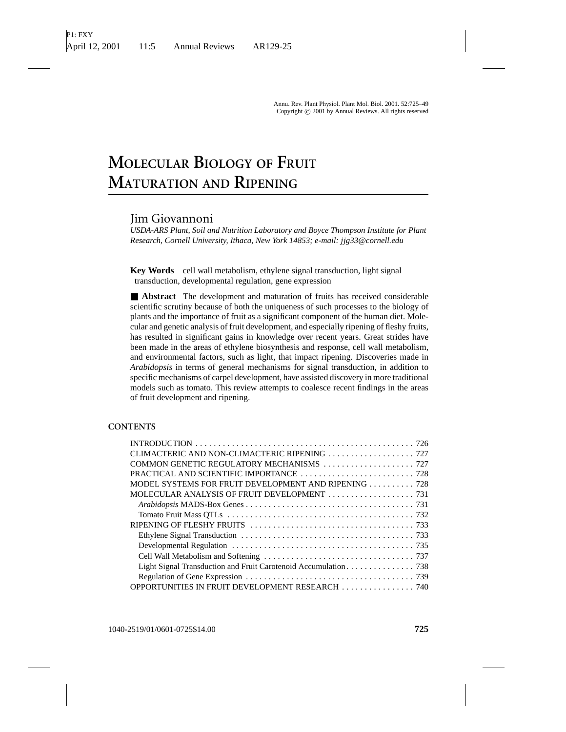# **MOLECULAR BIOLOGY OF FRUIT MATURATION AND RIPENING**

# Jim Giovannoni

*USDA-ARS Plant, Soil and Nutrition Laboratory and Boyce Thompson Institute for Plant Research, Cornell University, Ithaca, New York 14853; e-mail: jjg33@cornell.edu*

**Key Words** cell wall metabolism, ethylene signal transduction, light signal transduction, developmental regulation, gene expression

■ **Abstract** The development and maturation of fruits has received considerable scientific scrutiny because of both the uniqueness of such processes to the biology of plants and the importance of fruit as a significant component of the human diet. Molecular and genetic analysis of fruit development, and especially ripening of fleshy fruits, has resulted in significant gains in knowledge over recent years. Great strides have been made in the areas of ethylene biosynthesis and response, cell wall metabolism, and environmental factors, such as light, that impact ripening. Discoveries made in *Arabidopsis* in terms of general mechanisms for signal transduction, in addition to specific mechanisms of carpel development, have assisted discovery in more traditional models such as tomato. This review attempts to coalesce recent findings in the areas of fruit development and ripening.

#### **CONTENTS**

| COMMON GENETIC REGULATORY MECHANISMS  727            |
|------------------------------------------------------|
|                                                      |
| MODEL SYSTEMS FOR FRUIT DEVELOPMENT AND RIPENING 728 |
|                                                      |
|                                                      |
|                                                      |
|                                                      |
|                                                      |
|                                                      |
|                                                      |
|                                                      |
|                                                      |
| OPPORTUNITIES IN FRUIT DEVELOPMENT RESEARCH  740     |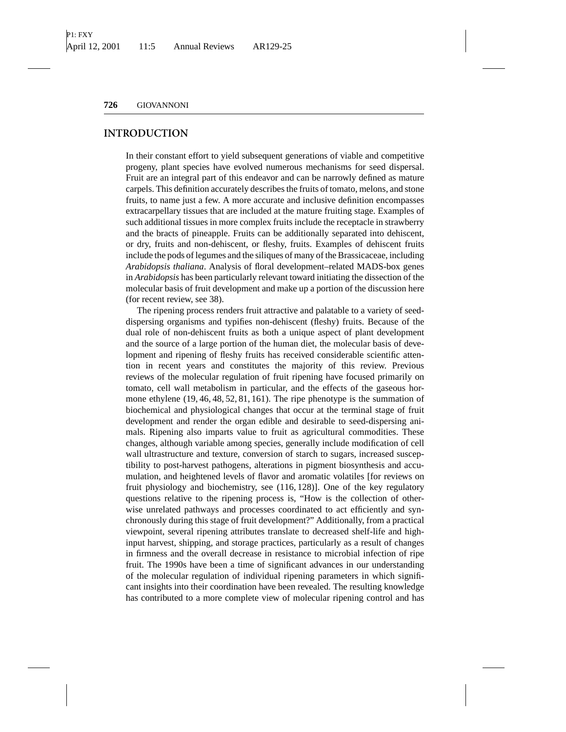### **INTRODUCTION**

In their constant effort to yield subsequent generations of viable and competitive progeny, plant species have evolved numerous mechanisms for seed dispersal. Fruit are an integral part of this endeavor and can be narrowly defined as mature carpels. This definition accurately describes the fruits of tomato, melons, and stone fruits, to name just a few. A more accurate and inclusive definition encompasses extracarpellary tissues that are included at the mature fruiting stage. Examples of such additional tissues in more complex fruits include the receptacle in strawberry and the bracts of pineapple. Fruits can be additionally separated into dehiscent, or dry, fruits and non-dehiscent, or fleshy, fruits. Examples of dehiscent fruits include the pods of legumes and the siliques of many of the Brassicaceae, including *Arabidopsis thaliana*. Analysis of floral development–related MADS-box genes in *Arabidopsis* has been particularly relevant toward initiating the dissection of the molecular basis of fruit development and make up a portion of the discussion here (for recent review, see 38).

The ripening process renders fruit attractive and palatable to a variety of seeddispersing organisms and typifies non-dehiscent (fleshy) fruits. Because of the dual role of non-dehiscent fruits as both a unique aspect of plant development and the source of a large portion of the human diet, the molecular basis of development and ripening of fleshy fruits has received considerable scientific attention in recent years and constitutes the majority of this review. Previous reviews of the molecular regulation of fruit ripening have focused primarily on tomato, cell wall metabolism in particular, and the effects of the gaseous hormone ethylene (19, 46, 48, 52, 81, 161). The ripe phenotype is the summation of biochemical and physiological changes that occur at the terminal stage of fruit development and render the organ edible and desirable to seed-dispersing animals. Ripening also imparts value to fruit as agricultural commodities. These changes, although variable among species, generally include modification of cell wall ultrastructure and texture, conversion of starch to sugars, increased susceptibility to post-harvest pathogens, alterations in pigment biosynthesis and accumulation, and heightened levels of flavor and aromatic volatiles [for reviews on fruit physiology and biochemistry, see (116, 128)]. One of the key regulatory questions relative to the ripening process is, "How is the collection of otherwise unrelated pathways and processes coordinated to act efficiently and synchronously during this stage of fruit development?" Additionally, from a practical viewpoint, several ripening attributes translate to decreased shelf-life and highinput harvest, shipping, and storage practices, particularly as a result of changes in firmness and the overall decrease in resistance to microbial infection of ripe fruit. The 1990s have been a time of significant advances in our understanding of the molecular regulation of individual ripening parameters in which significant insights into their coordination have been revealed. The resulting knowledge has contributed to a more complete view of molecular ripening control and has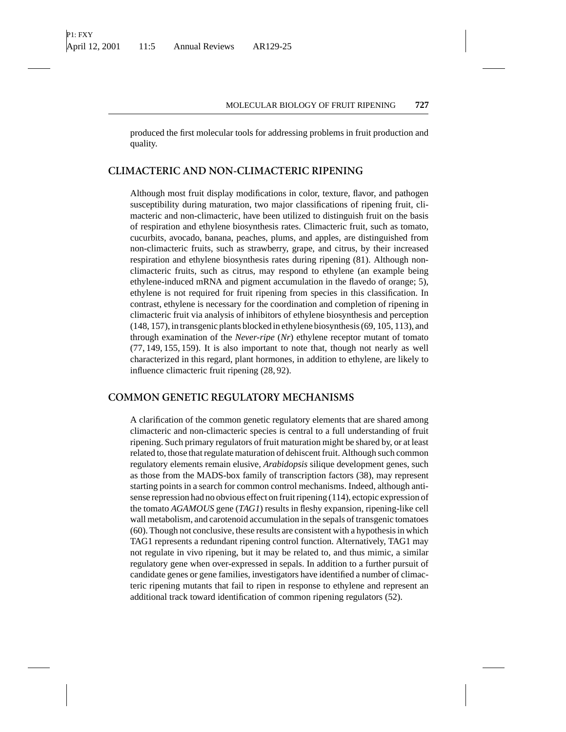produced the first molecular tools for addressing problems in fruit production and quality.

# **CLIMACTERIC AND NON-CLIMACTERIC RIPENING**

Although most fruit display modifications in color, texture, flavor, and pathogen susceptibility during maturation, two major classifications of ripening fruit, climacteric and non-climacteric, have been utilized to distinguish fruit on the basis of respiration and ethylene biosynthesis rates. Climacteric fruit, such as tomato, cucurbits, avocado, banana, peaches, plums, and apples, are distinguished from non-climacteric fruits, such as strawberry, grape, and citrus, by their increased respiration and ethylene biosynthesis rates during ripening (81). Although nonclimacteric fruits, such as citrus, may respond to ethylene (an example being ethylene-induced mRNA and pigment accumulation in the flavedo of orange; 5), ethylene is not required for fruit ripening from species in this classification. In contrast, ethylene is necessary for the coordination and completion of ripening in climacteric fruit via analysis of inhibitors of ethylene biosynthesis and perception (148, 157), in transgenic plants blocked in ethylene biosynthesis (69, 105, 113), and through examination of the *Never-ripe* (*Nr*) ethylene receptor mutant of tomato (77, 149, 155, 159). It is also important to note that, though not nearly as well characterized in this regard, plant hormones, in addition to ethylene, are likely to influence climacteric fruit ripening (28, 92).

### **COMMON GENETIC REGULATORY MECHANISMS**

A clarification of the common genetic regulatory elements that are shared among climacteric and non-climacteric species is central to a full understanding of fruit ripening. Such primary regulators of fruit maturation might be shared by, or at least related to, those that regulate maturation of dehiscent fruit. Although such common regulatory elements remain elusive, *Arabidopsis* silique development genes, such as those from the MADS-box family of transcription factors (38), may represent starting points in a search for common control mechanisms. Indeed, although antisense repression had no obvious effect on fruit ripening (114), ectopic expression of the tomato *AGAMOUS* gene (*TAG1*) results in fleshy expansion, ripening-like cell wall metabolism, and carotenoid accumulation in the sepals of transgenic tomatoes (60). Though not conclusive, these results are consistent with a hypothesis in which TAG1 represents a redundant ripening control function. Alternatively, TAG1 may not regulate in vivo ripening, but it may be related to, and thus mimic, a similar regulatory gene when over-expressed in sepals. In addition to a further pursuit of candidate genes or gene families, investigators have identified a number of climacteric ripening mutants that fail to ripen in response to ethylene and represent an additional track toward identification of common ripening regulators (52).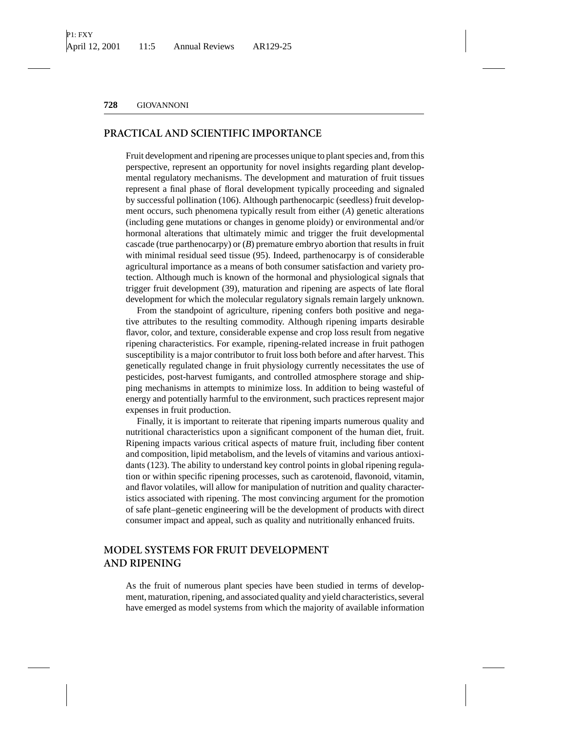## **PRACTICAL AND SCIENTIFIC IMPORTANCE**

Fruit development and ripening are processes unique to plant species and, from this perspective, represent an opportunity for novel insights regarding plant developmental regulatory mechanisms. The development and maturation of fruit tissues represent a final phase of floral development typically proceeding and signaled by successful pollination (106). Although parthenocarpic (seedless) fruit development occurs, such phenomena typically result from either (*A*) genetic alterations (including gene mutations or changes in genome ploidy) or environmental and/or hormonal alterations that ultimately mimic and trigger the fruit developmental cascade (true parthenocarpy) or (*B*) premature embryo abortion that results in fruit with minimal residual seed tissue (95). Indeed, parthenocarpy is of considerable agricultural importance as a means of both consumer satisfaction and variety protection. Although much is known of the hormonal and physiological signals that trigger fruit development (39), maturation and ripening are aspects of late floral development for which the molecular regulatory signals remain largely unknown.

From the standpoint of agriculture, ripening confers both positive and negative attributes to the resulting commodity. Although ripening imparts desirable flavor, color, and texture, considerable expense and crop loss result from negative ripening characteristics. For example, ripening-related increase in fruit pathogen susceptibility is a major contributor to fruit loss both before and after harvest. This genetically regulated change in fruit physiology currently necessitates the use of pesticides, post-harvest fumigants, and controlled atmosphere storage and shipping mechanisms in attempts to minimize loss. In addition to being wasteful of energy and potentially harmful to the environment, such practices represent major expenses in fruit production.

Finally, it is important to reiterate that ripening imparts numerous quality and nutritional characteristics upon a significant component of the human diet, fruit. Ripening impacts various critical aspects of mature fruit, including fiber content and composition, lipid metabolism, and the levels of vitamins and various antioxidants (123). The ability to understand key control points in global ripening regulation or within specific ripening processes, such as carotenoid, flavonoid, vitamin, and flavor volatiles, will allow for manipulation of nutrition and quality characteristics associated with ripening. The most convincing argument for the promotion of safe plant–genetic engineering will be the development of products with direct consumer impact and appeal, such as quality and nutritionally enhanced fruits.

# **MODEL SYSTEMS FOR FRUIT DEVELOPMENT AND RIPENING**

As the fruit of numerous plant species have been studied in terms of development, maturation, ripening, and associated quality and yield characteristics, several have emerged as model systems from which the majority of available information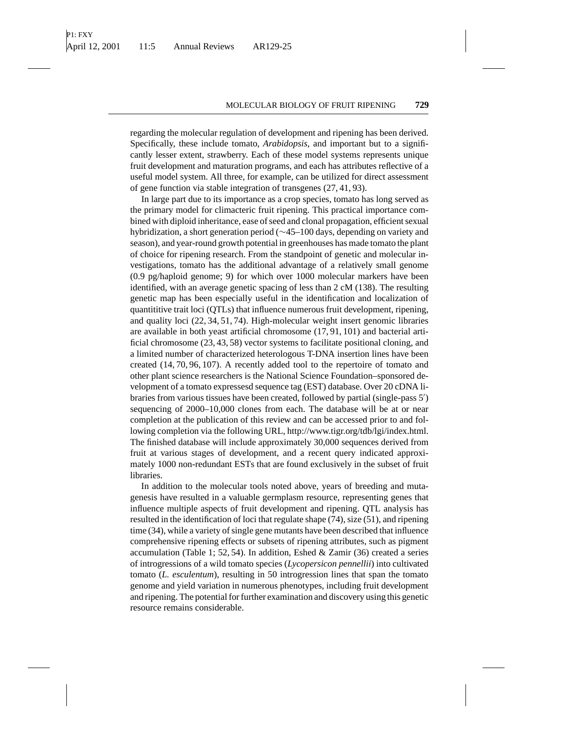regarding the molecular regulation of development and ripening has been derived. Specifically, these include tomato, *Arabidopsis*, and important but to a significantly lesser extent, strawberry. Each of these model systems represents unique fruit development and maturation programs, and each has attributes reflective of a useful model system. All three, for example, can be utilized for direct assessment of gene function via stable integration of transgenes (27, 41, 93).

In large part due to its importance as a crop species, tomato has long served as the primary model for climacteric fruit ripening. This practical importance combined with diploid inheritance, ease of seed and clonal propagation, efficient sexual hybridization, a short generation period (∼45–100 days, depending on variety and season), and year-round growth potential in greenhouses has made tomato the plant of choice for ripening research. From the standpoint of genetic and molecular investigations, tomato has the additional advantage of a relatively small genome (0.9 pg/haploid genome; 9) for which over 1000 molecular markers have been identified, with an average genetic spacing of less than 2 cM (138). The resulting genetic map has been especially useful in the identification and localization of quantititive trait loci (QTLs) that influence numerous fruit development, ripening, and quality loci (22, 34, 51, 74). High-molecular weight insert genomic libraries are available in both yeast artificial chromosome (17, 91, 101) and bacterial artificial chromosome (23, 43, 58) vector systems to facilitate positional cloning, and a limited number of characterized heterologous T-DNA insertion lines have been created (14, 70, 96, 107). A recently added tool to the repertoire of tomato and other plant science researchers is the National Science Foundation–sponsored development of a tomato expressesd sequence tag (EST) database. Over 20 cDNA libraries from various tissues have been created, followed by partial (single-pass 5') sequencing of 2000–10,000 clones from each. The database will be at or near completion at the publication of this review and can be accessed prior to and following completion via the following URL, http://www.tigr.org/tdb/lgi/index.html. The finished database will include approximately 30,000 sequences derived from fruit at various stages of development, and a recent query indicated approximately 1000 non-redundant ESTs that are found exclusively in the subset of fruit **libraries** 

In addition to the molecular tools noted above, years of breeding and mutagenesis have resulted in a valuable germplasm resource, representing genes that influence multiple aspects of fruit development and ripening. QTL analysis has resulted in the identification of loci that regulate shape (74), size (51), and ripening time (34), while a variety of single gene mutants have been described that influence comprehensive ripening effects or subsets of ripening attributes, such as pigment accumulation (Table 1; 52, 54). In addition, Eshed & Zamir (36) created a series of introgressions of a wild tomato species (*Lycopersicon pennellii*) into cultivated tomato (*L. esculentum*), resulting in 50 introgression lines that span the tomato genome and yield variation in numerous phenotypes, including fruit development and ripening. The potential for further examination and discovery using this genetic resource remains considerable.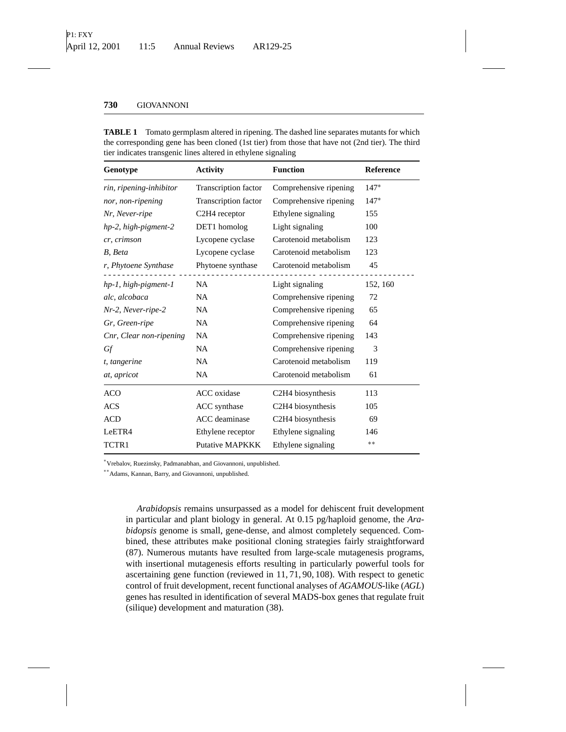| Genotype                | <b>Activity</b>                        | <b>Function</b>        | Reference |
|-------------------------|----------------------------------------|------------------------|-----------|
| rin, ripening-inhibitor | Transcription factor                   | Comprehensive ripening | $147*$    |
| nor, non-ripening       | Transcription factor                   | Comprehensive ripening | $147*$    |
| Nr, Never-ripe          | C <sub>2</sub> H <sub>4</sub> receptor | Ethylene signaling     | 155       |
| $hp-2$ , high-pigment-2 | DET1 homolog                           | Light signaling        | 100       |
| cr, crimson             | Lycopene cyclase                       | Carotenoid metabolism  | 123       |
| B, Beta                 | Lycopene cyclase                       | Carotenoid metabolism  | 123       |
| r, Phytoene Synthase    | Phytoene synthase                      | Carotenoid metabolism  | 45        |
| $hp-1$ , high-pigment-1 | NA.                                    | Light signaling        | 152, 160  |
| alc, alcobaca           | <b>NA</b>                              | Comprehensive ripening | 72        |
| Nr-2, Never-ripe-2      | <b>NA</b>                              | Comprehensive ripening | 65        |
| Gr, Green-ripe          | NA                                     | Comprehensive ripening | 64        |
| Cnr, Clear non-ripening | <b>NA</b>                              | Comprehensive ripening | 143       |
| Gf                      | <b>NA</b>                              | Comprehensive ripening | 3         |
| t, tangerine            | NA                                     | Carotenoid metabolism  | 119       |
| at, apricot             | <b>NA</b>                              | Carotenoid metabolism  | 61        |
| <b>ACO</b>              | ACC oxidase                            | C2H4 biosynthesis      | 113       |
| <b>ACS</b>              | ACC synthase                           | C2H4 biosynthesis      | 105       |
| <b>ACD</b>              | ACC deaminase                          | C2H4 biosynthesis      | 69        |
| LeETR4                  | Ethylene receptor                      | Ethylene signaling     | 146       |
| TCTR1                   | <b>Putative MAPKKK</b>                 | Ethylene signaling     | $***$     |

**TABLE 1** Tomato germplasm altered in ripening. The dashed line separates mutants for which the corresponding gene has been cloned (1st tier) from those that have not (2nd tier). The third tier indicates transgenic lines altered in ethylene signaling

∗ Vrebalov, Ruezinsky, Padmanabhan, and Giovannoni, unpublished.

∗∗Adams, Kannan, Barry, and Giovannoni, unpublished.

*Arabidopsis* remains unsurpassed as a model for dehiscent fruit development in particular and plant biology in general. At 0.15 pg/haploid genome, the *Arabidopsis* genome is small, gene-dense, and almost completely sequenced. Combined, these attributes make positional cloning strategies fairly straightforward (87). Numerous mutants have resulted from large-scale mutagenesis programs, with insertional mutagenesis efforts resulting in particularly powerful tools for ascertaining gene function (reviewed in 11, 71, 90, 108). With respect to genetic control of fruit development, recent functional analyses of *AGAMOUS*-like (*AGL*) genes has resulted in identification of several MADS-box genes that regulate fruit (silique) development and maturation (38).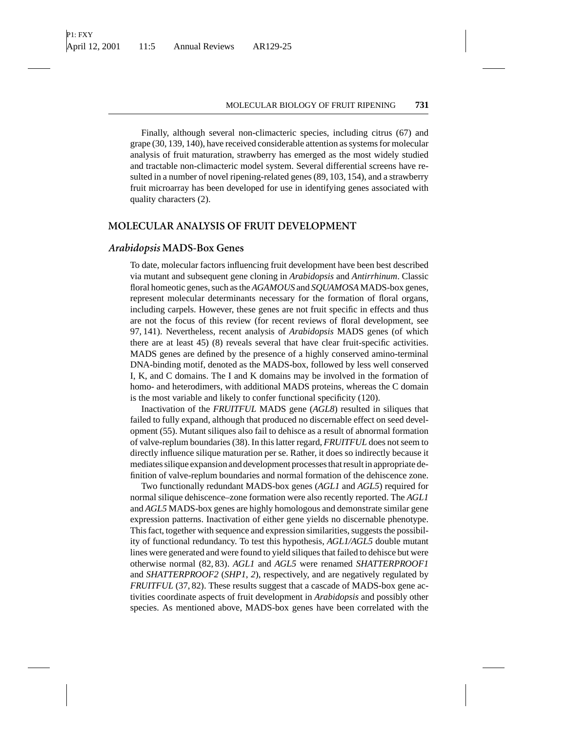Finally, although several non-climacteric species, including citrus (67) and grape (30, 139, 140), have received considerable attention as systems for molecular analysis of fruit maturation, strawberry has emerged as the most widely studied and tractable non-climacteric model system. Several differential screens have resulted in a number of novel ripening-related genes (89, 103, 154), and a strawberry fruit microarray has been developed for use in identifying genes associated with quality characters (2).

# **MOLECULAR ANALYSIS OF FRUIT DEVELOPMENT**

#### *Arabidopsis* **MADS-Box Genes**

To date, molecular factors influencing fruit development have been best described via mutant and subsequent gene cloning in *Arabidopsis* and *Antirrhinum*. Classic floral homeotic genes, such as the *AGAMOUS* and *SQUAMOSA* MADS-box genes, represent molecular determinants necessary for the formation of floral organs, including carpels. However, these genes are not fruit specific in effects and thus are not the focus of this review (for recent reviews of floral development, see 97, 141). Nevertheless, recent analysis of *Arabidopsis* MADS genes (of which there are at least 45) (8) reveals several that have clear fruit-specific activities. MADS genes are defined by the presence of a highly conserved amino-terminal DNA-binding motif, denoted as the MADS-box, followed by less well conserved I, K, and C domains. The I and K domains may be involved in the formation of homo- and heterodimers, with additional MADS proteins, whereas the C domain is the most variable and likely to confer functional specificity (120).

Inactivation of the *FRUITFUL* MADS gene (*AGL8*) resulted in siliques that failed to fully expand, although that produced no discernable effect on seed development (55). Mutant siliques also fail to dehisce as a result of abnormal formation of valve-replum boundaries (38). In this latter regard, *FRUITFUL* does not seem to directly influence silique maturation per se. Rather, it does so indirectly because it mediates silique expansion and development processes that result in appropriate definition of valve-replum boundaries and normal formation of the dehiscence zone.

Two functionally redundant MADS-box genes (*AGL1* and *AGL5*) required for normal silique dehiscence–zone formation were also recently reported. The *AGL1* and *AGL5* MADS-box genes are highly homologous and demonstrate similar gene expression patterns. Inactivation of either gene yields no discernable phenotype. This fact, together with sequence and expression similarities, suggests the possibility of functional redundancy. To test this hypothesis, *AGL1/AGL5* double mutant lines were generated and were found to yield siliques that failed to dehisce but were otherwise normal (82, 83). *AGL1* and *AGL5* were renamed *SHATTERPROOF1* and *SHATTERPROOF2* (*SHP1*, *2*), respectively, and are negatively regulated by *FRUITFUL* (37, 82). These results suggest that a cascade of MADS-box gene activities coordinate aspects of fruit development in *Arabidopsis* and possibly other species. As mentioned above, MADS-box genes have been correlated with the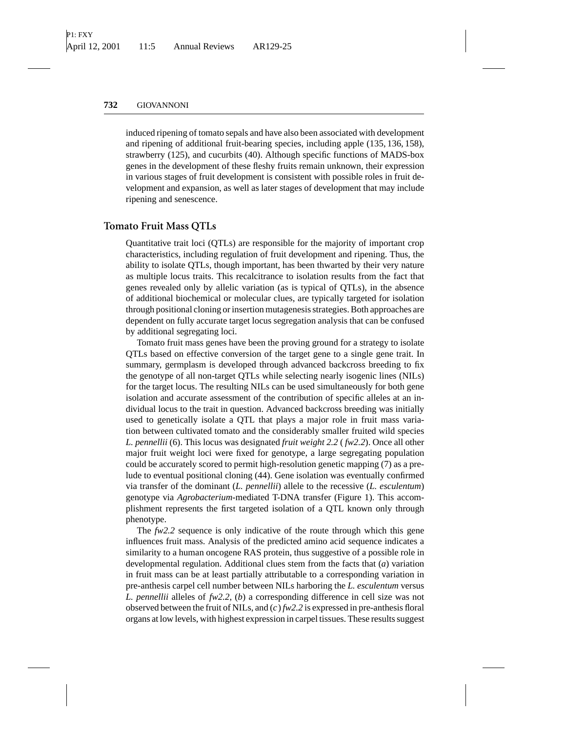induced ripening of tomato sepals and have also been associated with development and ripening of additional fruit-bearing species, including apple (135, 136, 158), strawberry (125), and cucurbits (40). Although specific functions of MADS-box genes in the development of these fleshy fruits remain unknown, their expression in various stages of fruit development is consistent with possible roles in fruit development and expansion, as well as later stages of development that may include ripening and senescence.

#### **Tomato Fruit Mass QTLs**

Quantitative trait loci (QTLs) are responsible for the majority of important crop characteristics, including regulation of fruit development and ripening. Thus, the ability to isolate QTLs, though important, has been thwarted by their very nature as multiple locus traits. This recalcitrance to isolation results from the fact that genes revealed only by allelic variation (as is typical of QTLs), in the absence of additional biochemical or molecular clues, are typically targeted for isolation through positional cloning or insertion mutagenesis strategies. Both approaches are dependent on fully accurate target locus segregation analysis that can be confused by additional segregating loci.

Tomato fruit mass genes have been the proving ground for a strategy to isolate QTLs based on effective conversion of the target gene to a single gene trait. In summary, germplasm is developed through advanced backcross breeding to fix the genotype of all non-target QTLs while selecting nearly isogenic lines (NILs) for the target locus. The resulting NILs can be used simultaneously for both gene isolation and accurate assessment of the contribution of specific alleles at an individual locus to the trait in question. Advanced backcross breeding was initially used to genetically isolate a QTL that plays a major role in fruit mass variation between cultivated tomato and the considerably smaller fruited wild species *L. pennellii* (6). This locus was designated *fruit weight 2.2* ( *fw2.2*). Once all other major fruit weight loci were fixed for genotype, a large segregating population could be accurately scored to permit high-resolution genetic mapping (7) as a prelude to eventual positional cloning (44). Gene isolation was eventually confirmed via transfer of the dominant (*L. pennellii*) allele to the recessive (*L. esculentum*) genotype via *Agrobacterium*-mediated T-DNA transfer (Figure 1). This accomplishment represents the first targeted isolation of a QTL known only through phenotype.

The  $f_{\text{W}}$ 2.2 sequence is only indicative of the route through which this gene influences fruit mass. Analysis of the predicted amino acid sequence indicates a similarity to a human oncogene RAS protein, thus suggestive of a possible role in developmental regulation. Additional clues stem from the facts that (*a*) variation in fruit mass can be at least partially attributable to a corresponding variation in pre-anthesis carpel cell number between NILs harboring the *L. esculentum* versus *L. pennellii* alleles of *fw2.2*, (*b*) a corresponding difference in cell size was not observed between the fruit of NILs, and (*c*) *fw2.2* is expressed in pre-anthesis floral organs at low levels, with highest expression in carpel tissues. These results suggest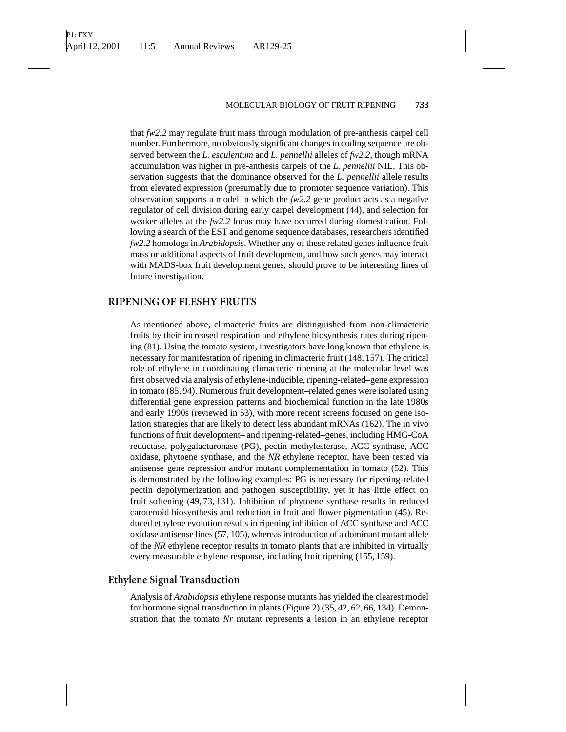that *fw2.2* may regulate fruit mass through modulation of pre-anthesis carpel cell number. Furthermore, no obviously significant changes in coding sequence are observed between the *L. esculentum* and *L. pennellii* alleles of *fw2.2*, though mRNA accumulation was higher in pre-anthesis carpels of the *L. pennellii* NIL. This observation suggests that the dominance observed for the *L. pennellii* allele results from elevated expression (presumably due to promoter sequence variation). This observation supports a model in which the *fw2.2* gene product acts as a negative regulator of cell division during early carpel development (44), and selection for weaker alleles at the *fw2.2* locus may have occurred during domestication. Following a search of the EST and genome sequence databases, researchers identified *fw2.2* homologs in *Arabidopsis*. Whether any of these related genes influence fruit mass or additional aspects of fruit development, and how such genes may interact with MADS-box fruit development genes, should prove to be interesting lines of future investigation.

## **RIPENING OF FLESHY FRUITS**

As mentioned above, climacteric fruits are distinguished from non-climacteric fruits by their increased respiration and ethylene biosynthesis rates during ripening (81). Using the tomato system, investigators have long known that ethylene is necessary for manifestation of ripening in climacteric fruit (148, 157). The critical role of ethylene in coordinating climacteric ripening at the molecular level was first observed via analysis of ethylene-inducible, ripening-related–gene expression in tomato (85, 94). Numerous fruit development–related genes were isolated using differential gene expression patterns and biochemical function in the late 1980s and early 1990s (reviewed in 53), with more recent screens focused on gene isolation strategies that are likely to detect less abundant mRNAs (162). The in vivo functions of fruit development– and ripening-related–genes, including HMG-CoA reductase, polygalacturonase (PG), pectin methylesterase, ACC synthase, ACC oxidase, phytoene synthase, and the *NR* ethylene receptor, have been tested via antisense gene repression and/or mutant complementation in tomato (52). This is demonstrated by the following examples: PG is necessary for ripening-related pectin depolymerization and pathogen susceptibility, yet it has little effect on fruit softening (49, 73, 131). Inhibition of phytoene synthase results in reduced carotenoid biosynthesis and reduction in fruit and flower pigmentation (45). Reduced ethylene evolution results in ripening inhibition of ACC synthase and ACC oxidase antisense lines (57, 105), whereas introduction of a dominant mutant allele of the *NR* ethylene receptor results in tomato plants that are inhibited in virtually every measurable ethylene response, including fruit ripening (155, 159).

# **Ethylene Signal Transduction**

Analysis of *Arabidopsis* ethylene response mutants has yielded the clearest model for hormone signal transduction in plants (Figure 2) (35, 42, 62, 66, 134). Demonstration that the tomato *Nr* mutant represents a lesion in an ethylene receptor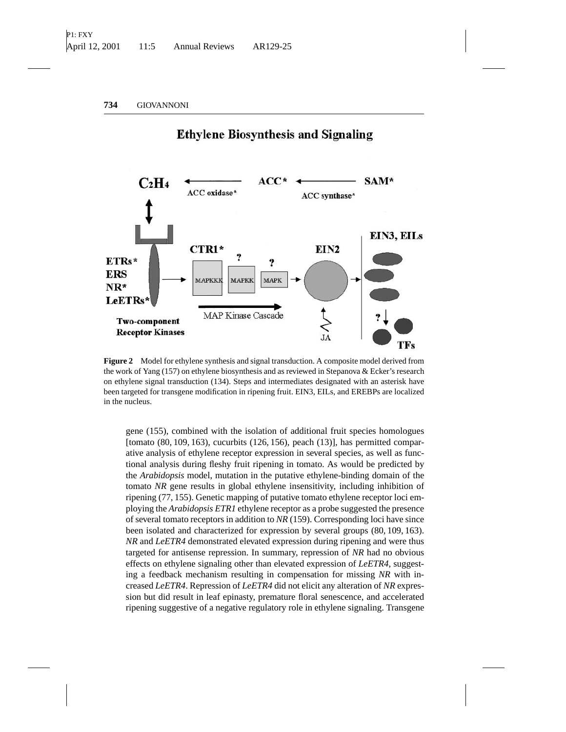

# **Ethylene Biosynthesis and Signaling**

**Figure 2** Model for ethylene synthesis and signal transduction. A composite model derived from the work of Yang (157) on ethylene biosynthesis and as reviewed in Stepanova & Ecker's research on ethylene signal transduction (134). Steps and intermediates designated with an asterisk have been targeted for transgene modification in ripening fruit. EIN3, EILs, and EREBPs are localized in the nucleus.

gene (155), combined with the isolation of additional fruit species homologues  $[tomato (80, 109, 163), cucurbits (126, 156), peach (13)], has permitted compar$ ative analysis of ethylene receptor expression in several species, as well as functional analysis during fleshy fruit ripening in tomato. As would be predicted by the *Arabidopsis* model, mutation in the putative ethylene-binding domain of the tomato *NR* gene results in global ethylene insensitivity, including inhibition of ripening (77, 155). Genetic mapping of putative tomato ethylene receptor loci employing the *Arabidopsis ETR1* ethylene receptor as a probe suggested the presence of several tomato receptors in addition to *NR* (159). Corresponding loci have since been isolated and characterized for expression by several groups (80, 109, 163). *NR* and *LeETR4* demonstrated elevated expression during ripening and were thus targeted for antisense repression. In summary, repression of *NR* had no obvious effects on ethylene signaling other than elevated expression of *LeETR4*, suggesting a feedback mechanism resulting in compensation for missing *NR* with increased *LeETR4*. Repression of *LeETR4* did not elicit any alteration of *NR* expression but did result in leaf epinasty, premature floral senescence, and accelerated ripening suggestive of a negative regulatory role in ethylene signaling. Transgene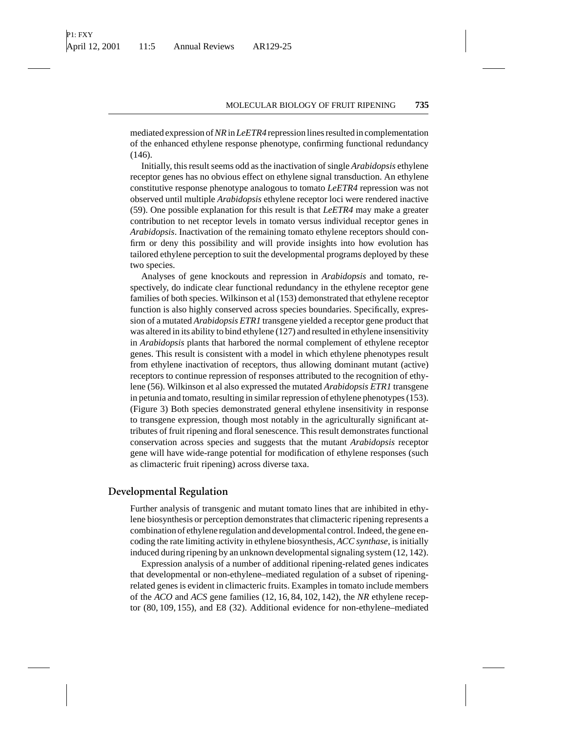mediated expression of*NR*in *LeETR4* repression lines resulted in complementation of the enhanced ethylene response phenotype, confirming functional redundancy (146).

Initially, this result seems odd as the inactivation of single *Arabidopsis* ethylene receptor genes has no obvious effect on ethylene signal transduction. An ethylene constitutive response phenotype analogous to tomato *LeETR4* repression was not observed until multiple *Arabidopsis* ethylene receptor loci were rendered inactive (59). One possible explanation for this result is that *LeETR4* may make a greater contribution to net receptor levels in tomato versus individual receptor genes in *Arabidopsis*. Inactivation of the remaining tomato ethylene receptors should confirm or deny this possibility and will provide insights into how evolution has tailored ethylene perception to suit the developmental programs deployed by these two species.

Analyses of gene knockouts and repression in *Arabidopsis* and tomato, respectively, do indicate clear functional redundancy in the ethylene receptor gene families of both species. Wilkinson et al (153) demonstrated that ethylene receptor function is also highly conserved across species boundaries. Specifically, expression of a mutated *Arabidopsis ETR1* transgene yielded a receptor gene product that was altered in its ability to bind ethylene (127) and resulted in ethylene insensitivity in *Arabidopsis* plants that harbored the normal complement of ethylene receptor genes. This result is consistent with a model in which ethylene phenotypes result from ethylene inactivation of receptors, thus allowing dominant mutant (active) receptors to continue repression of responses attributed to the recognition of ethylene (56). Wilkinson et al also expressed the mutated *Arabidopsis ETR1* transgene in petunia and tomato, resulting in similar repression of ethylene phenotypes (153). (Figure 3) Both species demonstrated general ethylene insensitivity in response to transgene expression, though most notably in the agriculturally significant attributes of fruit ripening and floral senescence. This result demonstrates functional conservation across species and suggests that the mutant *Arabidopsis* receptor gene will have wide-range potential for modification of ethylene responses (such as climacteric fruit ripening) across diverse taxa.

#### **Developmental Regulation**

Further analysis of transgenic and mutant tomato lines that are inhibited in ethylene biosynthesis or perception demonstrates that climacteric ripening represents a combination of ethylene regulation and developmental control. Indeed, the gene encoding the rate limiting activity in ethylene biosynthesis, *ACC synthase*, is initially induced during ripening by an unknown developmental signaling system (12, 142).

Expression analysis of a number of additional ripening-related genes indicates that developmental or non-ethylene–mediated regulation of a subset of ripeningrelated genes is evident in climacteric fruits. Examples in tomato include members of the *ACO* and *ACS* gene families (12, 16, 84, 102, 142), the *NR* ethylene receptor (80, 109, 155), and E8 (32). Additional evidence for non-ethylene–mediated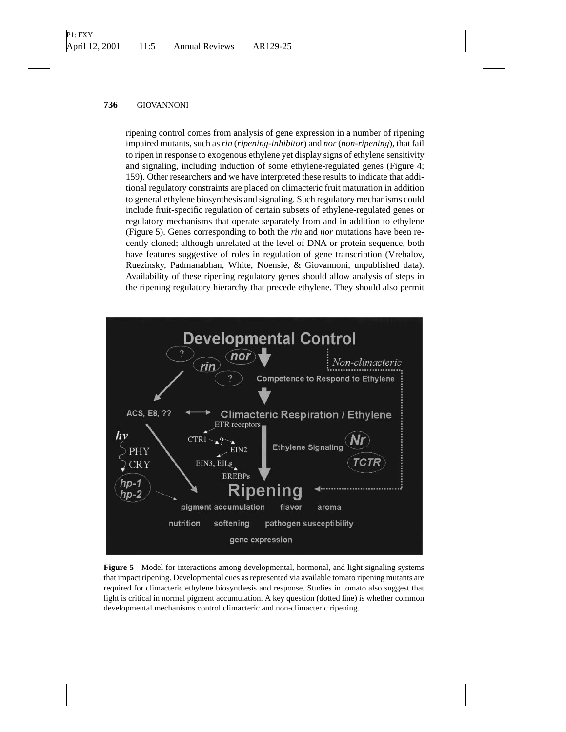ripening control comes from analysis of gene expression in a number of ripening impaired mutants, such as*rin* (*ripening-inhibitor*) and *nor*(*non-ripening*), that fail to ripen in response to exogenous ethylene yet display signs of ethylene sensitivity and signaling, including induction of some ethylene-regulated genes (Figure 4; 159). Other researchers and we have interpreted these results to indicate that additional regulatory constraints are placed on climacteric fruit maturation in addition to general ethylene biosynthesis and signaling. Such regulatory mechanisms could include fruit-specific regulation of certain subsets of ethylene-regulated genes or regulatory mechanisms that operate separately from and in addition to ethylene (Figure 5). Genes corresponding to both the *rin* and *nor* mutations have been recently cloned; although unrelated at the level of DNA or protein sequence, both have features suggestive of roles in regulation of gene transcription (Vrebalov, Ruezinsky, Padmanabhan, White, Noensie, & Giovannoni, unpublished data). Availability of these ripening regulatory genes should allow analysis of steps in the ripening regulatory hierarchy that precede ethylene. They should also permit



**Figure 5** Model for interactions among developmental, hormonal, and light signaling systems that impact ripening. Developmental cues as represented via available tomato ripening mutants are required for climacteric ethylene biosynthesis and response. Studies in tomato also suggest that light is critical in normal pigment accumulation. A key question (dotted line) is whether common developmental mechanisms control climacteric and non-climacteric ripening.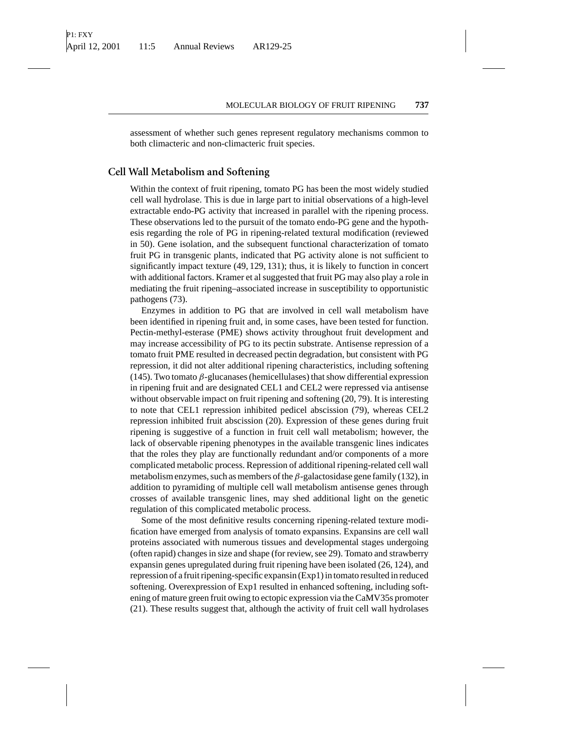assessment of whether such genes represent regulatory mechanisms common to both climacteric and non-climacteric fruit species.

# **Cell Wall Metabolism and Softening**

Within the context of fruit ripening, tomato PG has been the most widely studied cell wall hydrolase. This is due in large part to initial observations of a high-level extractable endo-PG activity that increased in parallel with the ripening process. These observations led to the pursuit of the tomato endo-PG gene and the hypothesis regarding the role of PG in ripening-related textural modification (reviewed in 50). Gene isolation, and the subsequent functional characterization of tomato fruit PG in transgenic plants, indicated that PG activity alone is not sufficient to significantly impact texture (49, 129, 131); thus, it is likely to function in concert with additional factors. Kramer et al suggested that fruit PG may also play a role in mediating the fruit ripening–associated increase in susceptibility to opportunistic pathogens (73).

Enzymes in addition to PG that are involved in cell wall metabolism have been identified in ripening fruit and, in some cases, have been tested for function. Pectin-methyl-esterase (PME) shows activity throughout fruit development and may increase accessibility of PG to its pectin substrate. Antisense repression of a tomato fruit PME resulted in decreased pectin degradation, but consistent with PG repression, it did not alter additional ripening characteristics, including softening (145). Two tomato  $\beta$ -glucanases (hemicellulases) that show differential expression in ripening fruit and are designated CEL1 and CEL2 were repressed via antisense without observable impact on fruit ripening and softening (20, 79). It is interesting to note that CEL1 repression inhibited pedicel abscission (79), whereas CEL2 repression inhibited fruit abscission (20). Expression of these genes during fruit ripening is suggestive of a function in fruit cell wall metabolism; however, the lack of observable ripening phenotypes in the available transgenic lines indicates that the roles they play are functionally redundant and/or components of a more complicated metabolic process. Repression of additional ripening-related cell wall metabolism enzymes, such as members of the  $\beta$ -galactosidase gene family (132), in addition to pyramiding of multiple cell wall metabolism antisense genes through crosses of available transgenic lines, may shed additional light on the genetic regulation of this complicated metabolic process.

Some of the most definitive results concerning ripening-related texture modification have emerged from analysis of tomato expansins. Expansins are cell wall proteins associated with numerous tissues and developmental stages undergoing (often rapid) changes in size and shape (for review, see 29). Tomato and strawberry expansin genes upregulated during fruit ripening have been isolated (26, 124), and repression of a fruit ripening-specific expansin (Exp1) in tomato resulted in reduced softening. Overexpression of Exp1 resulted in enhanced softening, including softening of mature green fruit owing to ectopic expression via the CaMV35s promoter (21). These results suggest that, although the activity of fruit cell wall hydrolases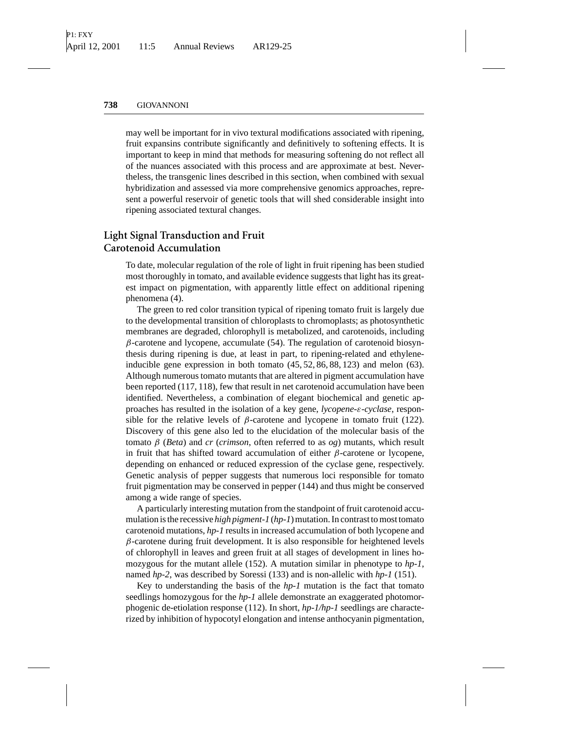may well be important for in vivo textural modifications associated with ripening, fruit expansins contribute significantly and definitively to softening effects. It is important to keep in mind that methods for measuring softening do not reflect all of the nuances associated with this process and are approximate at best. Nevertheless, the transgenic lines described in this section, when combined with sexual hybridization and assessed via more comprehensive genomics approaches, represent a powerful reservoir of genetic tools that will shed considerable insight into ripening associated textural changes.

# **Light Signal Transduction and Fruit Carotenoid Accumulation**

To date, molecular regulation of the role of light in fruit ripening has been studied most thoroughly in tomato, and available evidence suggests that light has its greatest impact on pigmentation, with apparently little effect on additional ripening phenomena (4).

The green to red color transition typical of ripening tomato fruit is largely due to the developmental transition of chloroplasts to chromoplasts; as photosynthetic membranes are degraded, chlorophyll is metabolized, and carotenoids, including  $\beta$ -carotene and lycopene, accumulate (54). The regulation of carotenoid biosynthesis during ripening is due, at least in part, to ripening-related and ethyleneinducible gene expression in both tomato (45, 52, 86, 88, 123) and melon (63). Although numerous tomato mutants that are altered in pigment accumulation have been reported (117, 118), few that result in net carotenoid accumulation have been identified. Nevertheless, a combination of elegant biochemical and genetic approaches has resulted in the isolation of a key gene, *lycopene-*ε*-cyclase*, responsible for the relative levels of  $\beta$ -carotene and lycopene in tomato fruit (122). Discovery of this gene also led to the elucidation of the molecular basis of the tomato β (*Beta*) and *cr* (*crimson*, often referred to as *og*) mutants, which result in fruit that has shifted toward accumulation of either  $\beta$ -carotene or lycopene, depending on enhanced or reduced expression of the cyclase gene, respectively. Genetic analysis of pepper suggests that numerous loci responsible for tomato fruit pigmentation may be conserved in pepper (144) and thus might be conserved among a wide range of species.

A particularly interesting mutation from the standpoint of fruit carotenoid accumulation is the recessive *high pigment-1* (*hp-1*) mutation. In contrast to most tomato carotenoid mutations, *hp-1* results in increased accumulation of both lycopene and  $\beta$ -carotene during fruit development. It is also responsible for heightened levels of chlorophyll in leaves and green fruit at all stages of development in lines homozygous for the mutant allele (152). A mutation similar in phenotype to *hp-1*, named *hp-2*, was described by Soressi (133) and is non-allelic with *hp-1* (151).

Key to understanding the basis of the *hp-1* mutation is the fact that tomato seedlings homozygous for the *hp-1* allele demonstrate an exaggerated photomorphogenic de-etiolation response (112). In short, *hp-1/hp-1* seedlings are characterized by inhibition of hypocotyl elongation and intense anthocyanin pigmentation,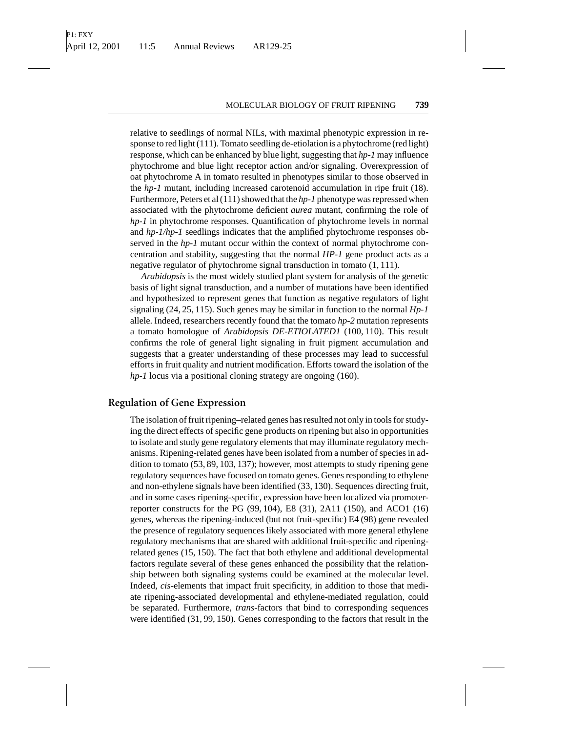relative to seedlings of normal NILs, with maximal phenotypic expression in response to red light (111). Tomato seedling de-etiolation is a phytochrome (red light) response, which can be enhanced by blue light, suggesting that *hp-1* may influence phytochrome and blue light receptor action and/or signaling. Overexpression of oat phytochrome A in tomato resulted in phenotypes similar to those observed in the *hp-1* mutant, including increased carotenoid accumulation in ripe fruit (18). Furthermore, Peters et al (111) showed that the *hp-1* phenotype was repressed when associated with the phytochrome deficient *aurea* mutant, confirming the role of *hp-1* in phytochrome responses. Quantification of phytochrome levels in normal and *hp-1/hp-1* seedlings indicates that the amplified phytochrome responses observed in the *hp-1* mutant occur within the context of normal phytochrome concentration and stability, suggesting that the normal *HP-1* gene product acts as a negative regulator of phytochrome signal transduction in tomato (1, 111).

*Arabidopsis* is the most widely studied plant system for analysis of the genetic basis of light signal transduction, and a number of mutations have been identified and hypothesized to represent genes that function as negative regulators of light signaling (24, 25, 115). Such genes may be similar in function to the normal *Hp-1* allele. Indeed, researchers recently found that the tomato *hp-2* mutation represents a tomato homologue of *Arabidopsis DE-ETIOLATED1* (100, 110). This result confirms the role of general light signaling in fruit pigment accumulation and suggests that a greater understanding of these processes may lead to successful efforts in fruit quality and nutrient modification. Efforts toward the isolation of the *hp-1* locus via a positional cloning strategy are ongoing (160).

# **Regulation of Gene Expression**

The isolation of fruit ripening–related genes has resulted not only in tools for studying the direct effects of specific gene products on ripening but also in opportunities to isolate and study gene regulatory elements that may illuminate regulatory mechanisms. Ripening-related genes have been isolated from a number of species in addition to tomato (53, 89, 103, 137); however, most attempts to study ripening gene regulatory sequences have focused on tomato genes. Genes responding to ethylene and non-ethylene signals have been identified (33, 130). Sequences directing fruit, and in some cases ripening-specific, expression have been localized via promoterreporter constructs for the PG (99, 104), E8 (31), 2A11 (150), and ACO1 (16) genes, whereas the ripening-induced (but not fruit-specific) E4 (98) gene revealed the presence of regulatory sequences likely associated with more general ethylene regulatory mechanisms that are shared with additional fruit-specific and ripeningrelated genes (15, 150). The fact that both ethylene and additional developmental factors regulate several of these genes enhanced the possibility that the relationship between both signaling systems could be examined at the molecular level. Indeed, *cis*-elements that impact fruit specificity, in addition to those that mediate ripening-associated developmental and ethylene-mediated regulation, could be separated. Furthermore, *trans*-factors that bind to corresponding sequences were identified (31, 99, 150). Genes corresponding to the factors that result in the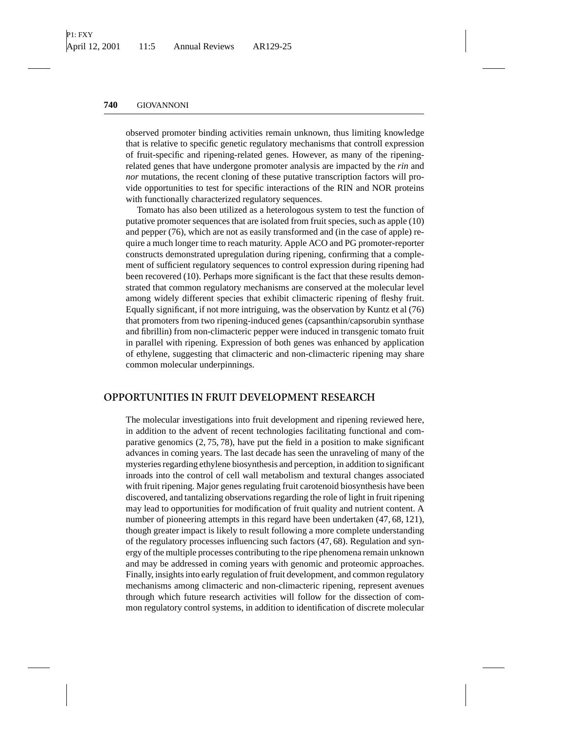observed promoter binding activities remain unknown, thus limiting knowledge that is relative to specific genetic regulatory mechanisms that controll expression of fruit-specific and ripening-related genes. However, as many of the ripeningrelated genes that have undergone promoter analysis are impacted by the *rin* and *nor* mutations, the recent cloning of these putative transcription factors will provide opportunities to test for specific interactions of the RIN and NOR proteins with functionally characterized regulatory sequences.

Tomato has also been utilized as a heterologous system to test the function of putative promoter sequences that are isolated from fruit species, such as apple (10) and pepper (76), which are not as easily transformed and (in the case of apple) require a much longer time to reach maturity. Apple ACO and PG promoter-reporter constructs demonstrated upregulation during ripening, confirming that a complement of sufficient regulatory sequences to control expression during ripening had been recovered (10). Perhaps more significant is the fact that these results demonstrated that common regulatory mechanisms are conserved at the molecular level among widely different species that exhibit climacteric ripening of fleshy fruit. Equally significant, if not more intriguing, was the observation by Kuntz et al (76) that promoters from two ripening-induced genes (capsanthin/capsorubin synthase and fibrillin) from non-climacteric pepper were induced in transgenic tomato fruit in parallel with ripening. Expression of both genes was enhanced by application of ethylene, suggesting that climacteric and non-climacteric ripening may share common molecular underpinnings.

#### **OPPORTUNITIES IN FRUIT DEVELOPMENT RESEARCH**

The molecular investigations into fruit development and ripening reviewed here, in addition to the advent of recent technologies facilitating functional and comparative genomics (2, 75, 78), have put the field in a position to make significant advances in coming years. The last decade has seen the unraveling of many of the mysteries regarding ethylene biosynthesis and perception, in addition to significant inroads into the control of cell wall metabolism and textural changes associated with fruit ripening. Major genes regulating fruit carotenoid biosynthesis have been discovered, and tantalizing observations regarding the role of light in fruit ripening may lead to opportunities for modification of fruit quality and nutrient content. A number of pioneering attempts in this regard have been undertaken (47, 68, 121), though greater impact is likely to result following a more complete understanding of the regulatory processes influencing such factors (47, 68). Regulation and synergy of the multiple processes contributing to the ripe phenomena remain unknown and may be addressed in coming years with genomic and proteomic approaches. Finally, insights into early regulation of fruit development, and common regulatory mechanisms among climacteric and non-climacteric ripening, represent avenues through which future research activities will follow for the dissection of common regulatory control systems, in addition to identification of discrete molecular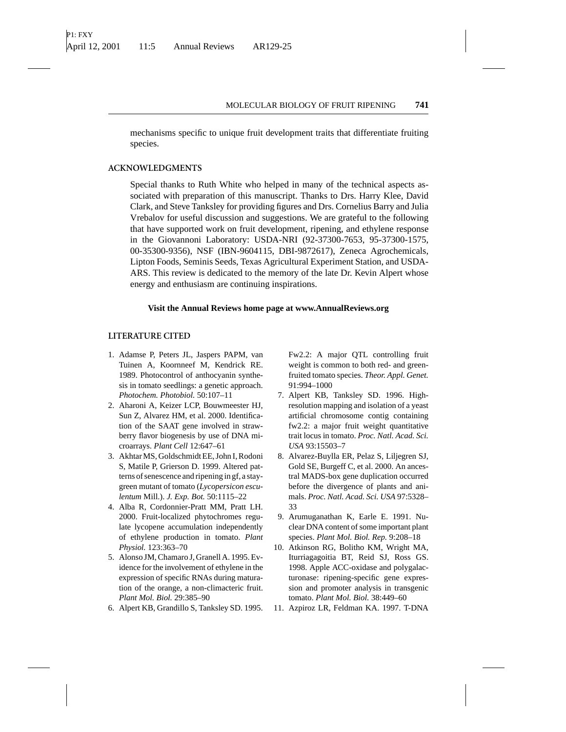mechanisms specific to unique fruit development traits that differentiate fruiting species.

#### **ACKNOWLEDGMENTS**

Special thanks to Ruth White who helped in many of the technical aspects associated with preparation of this manuscript. Thanks to Drs. Harry Klee, David Clark, and Steve Tanksley for providing figures and Drs. Cornelius Barry and Julia Vrebalov for useful discussion and suggestions. We are grateful to the following that have supported work on fruit development, ripening, and ethylene response in the Giovannoni Laboratory: USDA-NRI (92-37300-7653, 95-37300-1575, 00-35300-9356), NSF (IBN-9604115, DBI-9872617), Zeneca Agrochemicals, Lipton Foods, Seminis Seeds, Texas Agricultural Experiment Station, and USDA-ARS. This review is dedicated to the memory of the late Dr. Kevin Alpert whose energy and enthusiasm are continuing inspirations.

#### **Visit the Annual Reviews home page at www.AnnualReviews.org**

#### **LITERATURE CITED**

- 1. Adamse P, Peters JL, Jaspers PAPM, van Tuinen A, Koornneef M, Kendrick RE. 1989. Photocontrol of anthocyanin synthesis in tomato seedlings: a genetic approach. *Photochem. Photobiol.* 50:107–11
- 2. Aharoni A, Keizer LCP, Bouwmeester HJ, Sun Z, Alvarez HM, et al. 2000. Identification of the SAAT gene involved in strawberry flavor biogenesis by use of DNA microarrays. *Plant Cell* 12:647–61
- 3. Akhtar MS, Goldschmidt EE, John I, Rodoni S, Matile P, Grierson D. 1999. Altered patterns of senescence and ripening in gf, a staygreen mutant of tomato (*Lycopersicon esculentum* Mill.). *J. Exp. Bot.* 50:1115–22
- 4. Alba R, Cordonnier-Pratt MM, Pratt LH. 2000. Fruit-localized phytochromes regulate lycopene accumulation independently of ethylene production in tomato. *Plant Physiol.* 123:363–70
- 5. Alonso JM, Chamaro J, Granell A. 1995. Evidence for the involvement of ethylene in the expression of specific RNAs during maturation of the orange, a non-climacteric fruit. *Plant Mol. Biol.* 29:385–90
- 6. Alpert KB, Grandillo S, Tanksley SD. 1995.

Fw2.2: A major QTL controlling fruit weight is common to both red- and greenfruited tomato species. *Theor. Appl. Genet.* 91:994–1000

- 7. Alpert KB, Tanksley SD. 1996. Highresolution mapping and isolation of a yeast artificial chromosome contig containing fw2.2: a major fruit weight quantitative trait locus in tomato. *Proc. Natl. Acad. Sci. USA* 93:15503–7
- 8. Alvarez-Buylla ER, Pelaz S, Liljegren SJ, Gold SE, Burgeff C, et al. 2000. An ancestral MADS-box gene duplication occurred before the divergence of plants and animals. *Proc. Natl. Acad. Sci. USA* 97:5328– 33
- 9. Arumuganathan K, Earle E. 1991. Nuclear DNA content of some important plant species. *Plant Mol. Biol. Rep.* 9:208–18
- 10. Atkinson RG, Bolitho KM, Wright MA, Iturriagagoitia BT, Reid SJ, Ross GS. 1998. Apple ACC-oxidase and polygalacturonase: ripening-specific gene expression and promoter analysis in transgenic tomato. *Plant Mol. Biol.* 38:449–60
- 11. Azpiroz LR, Feldman KA. 1997. T-DNA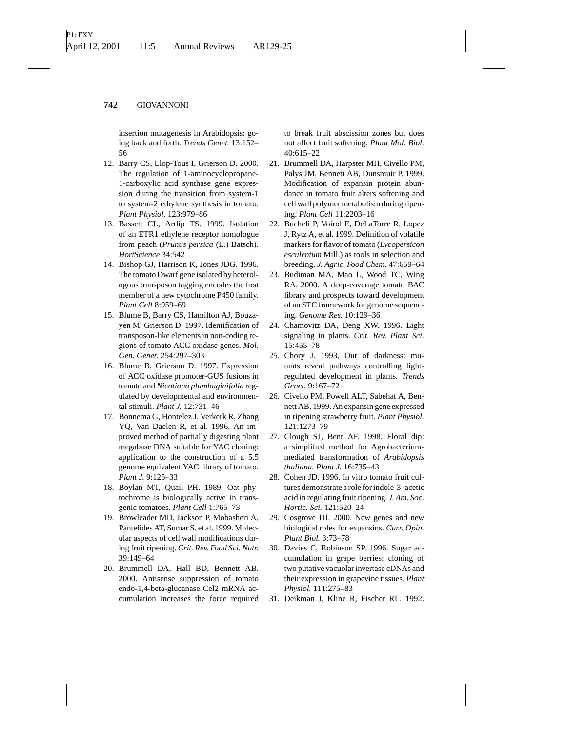insertion mutagenesis in Arabidopsis: going back and forth. *Trends Genet.* 13:152– 56

- 12. Barry CS, Llop-Tous I, Grierson D. 2000. The regulation of 1-aminocyclopropane-1-carboxylic acid synthase gene expression during the transition from system-1 to system-2 ethylene synthesis in tomato. *Plant Physiol.* 123:979–86
- 13. Bassett CL, Artlip TS. 1999. Isolation of an ETR1 ethylene receptor homologue from peach (*Prunus persica* (L.) Batsch). *HortScience* 34:542
- 14. Bishop GJ, Harrison K, Jones JDG. 1996. The tomato Dwarf gene isolated by heterologous transposon tagging encodes the first member of a new cytochrome P450 family. *Plant Cell* 8:959–69
- 15. Blume B, Barry CS, Hamilton AJ, Bouzayen M, Grierson D. 1997. Identification of transposon-like elements in non-coding regions of tomato ACC oxidase genes. *Mol. Gen. Genet.* 254:297–303
- 16. Blume B, Grierson D. 1997. Expression of ACC oxidase promoter-GUS fusions in tomato and *Nicotiana plumbaginifolia* regulated by developmental and environmental stimuli. *Plant J.* 12:731–46
- 17. Bonnema G, Hontelez J, Verkerk R, Zhang YQ, Van Daelen R, et al. 1996. An improved method of partially digesting plant megabase DNA suitable for YAC cloning: application to the construction of a 5.5 genome equivalent YAC library of tomato. *Plant J.* 9:125–33
- 18. Boylan MT, Quail PH. 1989. Oat phytochrome is biologically active in transgenic tomatoes. *Plant Cell* 1:765–73
- 19. Browleader MD, Jackson P, Mobasheri A, Pantelides AT, Sumar S, et al. 1999. Molecular aspects of cell wall modifications during fruit ripening. *Crit. Rev. Food Sci. Nutr.* 39:149–64
- 20. Brummell DA, Hall BD, Bennett AB. 2000. Antisense suppression of tomato endo-1,4-beta-glucanase Cel2 mRNA accumulation increases the force required

to break fruit abscission zones but does not affect fruit softening. *Plant Mol. Biol.* 40:615–22

- 21. Brummell DA, Harpster MH, Civello PM, Palys JM, Bennett AB, Dunsmuir P. 1999. Modification of expansin protein abundance in tomato fruit alters softening and cell wall polymer metabolism during ripening. *Plant Cell* 11:2203–16
- 22. Bucheli P, Voirol E, DeLaTorre R, Lopez J, Rytz A, et al. 1999. Definition of volatile markers for flavor of tomato (*Lycopersicon esculentum* Mill.) as tools in selection and breeding. *J. Agric. Food Chem.* 47:659–64
- 23. Budiman MA, Mao L, Wood TC, Wing RA. 2000. A deep-coverage tomato BAC library and prospects toward development of an STC framework for genome sequencing. *Genome Res.* 10:129–36
- 24. Chamovitz DA, Deng XW. 1996. Light signaling in plants. *Crit. Rev. Plant Sci.* 15:455–78
- 25. Chory J. 1993. Out of darkness: mutants reveal pathways controlling lightregulated development in plants. *Trends Genet.* 9:167–72
- 26. Civello PM, Powell ALT, Sabehat A, Bennett AB. 1999. An expansin gene expressed in ripening strawberry fruit. *Plant Physiol.* 121:1273–79
- 27. Clough SJ, Bent AF. 1998. Floral dip: a simplified method for Agrobacteriummediated transformation of *Arabidopsis thaliana*. *Plant J.* 16:735–43
- 28. Cohen JD. 1996. In vitro tomato fruit cultures demonstrate a role for indole-3- acetic acid in regulating fruit ripening. *J. Am. Soc. Hortic. Sci.* 121:520–24
- 29. Cosgrove DJ. 2000. New genes and new biological roles for expansins. *Curr. Opin. Plant Biol.* 3:73–78
- 30. Davies C, Robinson SP. 1996. Sugar accumulation in grape berries: cloning of two putative vacuolar invertase cDNAs and their expression in grapevine tissues. *Plant Physiol.* 111:275–83
- 31. Deikman J, Kline R, Fischer RL. 1992.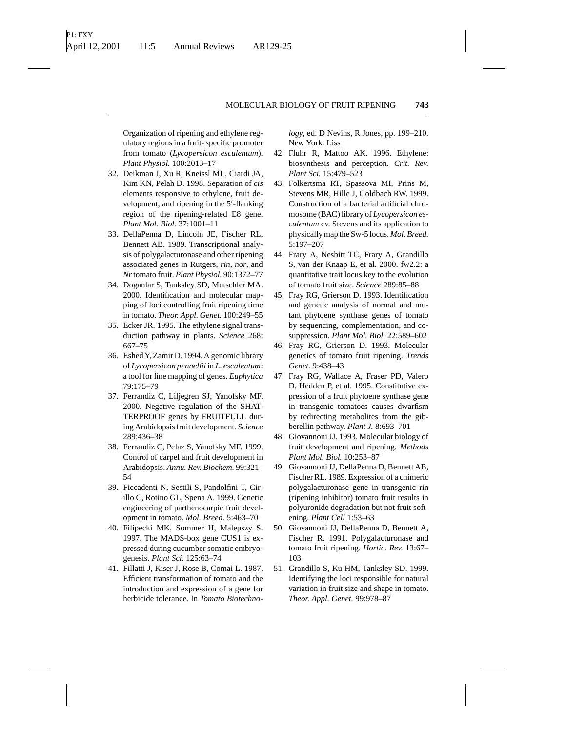Organization of ripening and ethylene regulatory regions in a fruit- specific promoter from tomato (*Lycopersicon esculentum*). *Plant Physiol.* 100:2013–17

- 32. Deikman J, Xu R, Kneissl ML, Ciardi JA, Kim KN, Pelah D. 1998. Separation of *cis* elements responsive to ethylene, fruit development, and ripening in the  $5'$ -flanking region of the ripening-related E8 gene. *Plant Mol. Biol.* 37:1001–11
- 33. DellaPenna D, Lincoln JE, Fischer RL, Bennett AB. 1989. Transcriptional analysis of polygalacturonase and other ripening associated genes in Rutgers, *rin*, *nor*, and *Nr*tomato fruit. *Plant Physiol.* 90:1372–77
- 34. Doganlar S, Tanksley SD, Mutschler MA. 2000. Identification and molecular mapping of loci controlling fruit ripening time in tomato. *Theor. Appl. Genet.* 100:249–55
- 35. Ecker JR. 1995. The ethylene signal transduction pathway in plants. *Science* 268: 667–75
- 36. Eshed Y, Zamir D. 1994. A genomic library of *Lycopersicon pennellii* in *L. esculentum*: a tool for fine mapping of genes. *Euphytica* 79:175–79
- 37. Ferrandiz C, Liljegren SJ, Yanofsky MF. 2000. Negative regulation of the SHAT-TERPROOF genes by FRUITFULL during Arabidopsis fruit development. *Science* 289:436–38
- 38. Ferrandiz C, Pelaz S, Yanofsky MF. 1999. Control of carpel and fruit development in Arabidopsis. *Annu. Rev. Biochem.* 99:321– 54
- 39. Ficcadenti N, Sestili S, Pandolfini T, Cirillo C, Rotino GL, Spena A. 1999. Genetic engineering of parthenocarpic fruit development in tomato. *Mol. Breed.* 5:463–70
- 40. Filipecki MK, Sommer H, Malepszy S. 1997. The MADS-box gene CUS1 is expressed during cucumber somatic embryogenesis. *Plant Sci.* 125:63–74
- 41. Fillatti J, Kiser J, Rose B, Comai L. 1987. Efficient transformation of tomato and the introduction and expression of a gene for herbicide tolerance. In *Tomato Biotechno-*

*logy*, ed. D Nevins, R Jones, pp. 199–210. New York: Liss

- 42. Fluhr R, Mattoo AK. 1996. Ethylene: biosynthesis and perception. *Crit. Rev. Plant Sci.* 15:479–523
- 43. Folkertsma RT, Spassova MI, Prins M, Stevens MR, Hille J, Goldbach RW. 1999. Construction of a bacterial artificial chromosome (BAC) library of *Lycopersicon esculentum* cv. Stevens and its application to physically map the Sw-5 locus. *Mol. Breed.* 5:197–207
- 44. Frary A, Nesbitt TC, Frary A, Grandillo S, van der Knaap E, et al. 2000. fw2.2: a quantitative trait locus key to the evolution of tomato fruit size. *Science* 289:85–88
- 45. Fray RG, Grierson D. 1993. Identification and genetic analysis of normal and mutant phytoene synthase genes of tomato by sequencing, complementation, and cosuppression. *Plant Mol. Biol.* 22:589–602
- 46. Fray RG, Grierson D. 1993. Molecular genetics of tomato fruit ripening. *Trends Genet.* 9:438–43
- 47. Fray RG, Wallace A, Fraser PD, Valero D, Hedden P, et al. 1995. Constitutive expression of a fruit phytoene synthase gene in transgenic tomatoes causes dwarfism by redirecting metabolites from the gibberellin pathway. *Plant J.* 8:693–701
- 48. Giovannoni JJ. 1993. Molecular biology of fruit development and ripening. *Methods Plant Mol. Biol.* 10:253–87
- 49. Giovannoni JJ, DellaPenna D, Bennett AB, Fischer RL. 1989. Expression of a chimeric polygalacturonase gene in transgenic rin (ripening inhibitor) tomato fruit results in polyuronide degradation but not fruit softening. *Plant Cell* 1:53–63
- 50. Giovannoni JJ, DellaPenna D, Bennett A, Fischer R. 1991. Polygalacturonase and tomato fruit ripening. *Hortic. Rev.* 13:67– 103
- 51. Grandillo S, Ku HM, Tanksley SD. 1999. Identifying the loci responsible for natural variation in fruit size and shape in tomato. *Theor. Appl. Genet.* 99:978–87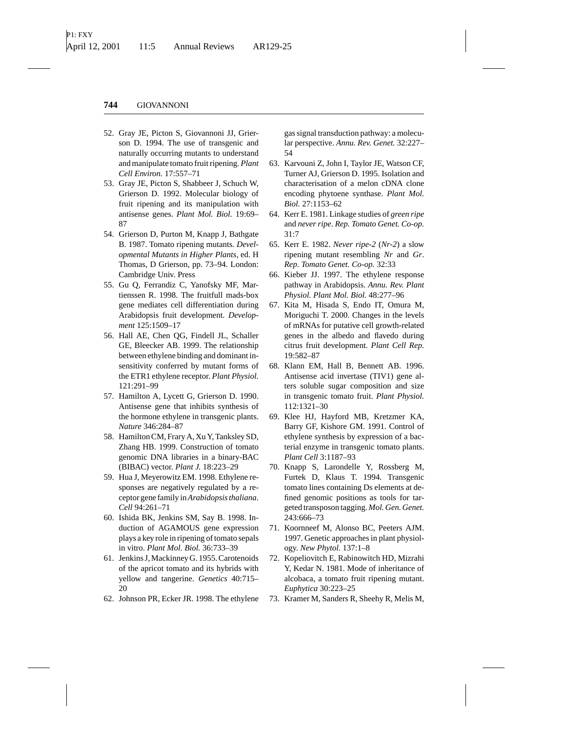- 52. Gray JE, Picton S, Giovannoni JJ, Grierson D. 1994. The use of transgenic and naturally occurring mutants to understand and manipulate tomato fruit ripening.*Plant Cell Environ.* 17:557–71
- 53. Gray JE, Picton S, Shabbeer J, Schuch W, Grierson D. 1992. Molecular biology of fruit ripening and its manipulation with antisense genes. *Plant Mol. Biol.* 19:69– 87
- 54. Grierson D, Purton M, Knapp J, Bathgate B. 1987. Tomato ripening mutants. *Developmental Mutants in Higher Plants*, ed. H Thomas, D Grierson, pp. 73–94. London: Cambridge Univ. Press
- 55. Gu Q, Ferrandiz C, Yanofsky MF, Martienssen R. 1998. The fruitfull mads-box gene mediates cell differentiation during Arabidopsis fruit development. *Development* 125:1509–17
- 56. Hall AE, Chen QG, Findell JL, Schaller GE, Bleecker AB. 1999. The relationship between ethylene binding and dominant insensitivity conferred by mutant forms of the ETR1 ethylene receptor. *Plant Physiol.* 121:291–99
- 57. Hamilton A, Lycett G, Grierson D. 1990. Antisense gene that inhibits synthesis of the hormone ethylene in transgenic plants. *Nature* 346:284–87
- 58. Hamilton CM, Frary A, Xu Y, Tanksley SD, Zhang HB. 1999. Construction of tomato genomic DNA libraries in a binary-BAC (BIBAC) vector. *Plant J.* 18:223–29
- 59. Hua J, Meyerowitz EM. 1998. Ethylene responses are negatively regulated by a receptor gene family in*Arabidopsis thaliana*. *Cell* 94:261–71
- 60. Ishida BK, Jenkins SM, Say B. 1998. Induction of AGAMOUS gene expression plays a key role in ripening of tomato sepals in vitro. *Plant Mol. Biol.* 36:733–39
- 61. Jenkins J, Mackinney G. 1955. Carotenoids of the apricot tomato and its hybrids with yellow and tangerine. *Genetics* 40:715– 20
- 62. Johnson PR, Ecker JR. 1998. The ethylene

gas signal transduction pathway: a molecular perspective. *Annu. Rev. Genet.* 32:227– 54

- 63. Karvouni Z, John I, Taylor JE, Watson CF, Turner AJ, Grierson D. 1995. Isolation and characterisation of a melon cDNA clone encoding phytoene synthase. *Plant Mol. Biol.* 27:1153–62
- 64. Kerr E. 1981. Linkage studies of *green ripe* and *never ripe*. *Rep. Tomato Genet. Co-op.* 31:7
- 65. Kerr E. 1982. *Never ripe-2* (*Nr-2*) a slow ripening mutant resembling *Nr* and *Gr*. *Rep. Tomato Genet. Co-op.* 32:33
- 66. Kieber JJ. 1997. The ethylene response pathway in Arabidopsis. *Annu. Rev. Plant Physiol. Plant Mol. Biol.* 48:277–96
- 67. Kita M, Hisada S, Endo IT, Omura M, Moriguchi T. 2000. Changes in the levels of mRNAs for putative cell growth-related genes in the albedo and flavedo during citrus fruit development. *Plant Cell Rep.* 19:582–87
- 68. Klann EM, Hall B, Bennett AB. 1996. Antisense acid invertase (TIV1) gene alters soluble sugar composition and size in transgenic tomato fruit. *Plant Physiol.* 112:1321–30
- 69. Klee HJ, Hayford MB, Kretzmer KA, Barry GF, Kishore GM. 1991. Control of ethylene synthesis by expression of a bacterial enzyme in transgenic tomato plants. *Plant Cell* 3:1187–93
- 70. Knapp S, Larondelle Y, Rossberg M, Furtek D, Klaus T. 1994. Transgenic tomato lines containing Ds elements at defined genomic positions as tools for targeted transposon tagging. *Mol. Gen. Genet.* 243:666–73
- 71. Koornneef M, Alonso BC, Peeters AJM. 1997. Genetic approaches in plant physiology. *New Phytol.* 137:1–8
- 72. Kopeliovitch E, Rabinowitch HD, Mizrahi Y, Kedar N. 1981. Mode of inheritance of alcobaca, a tomato fruit ripening mutant. *Euphytica* 30:223–25
- 73. Kramer M, Sanders R, Sheehy R, Melis M,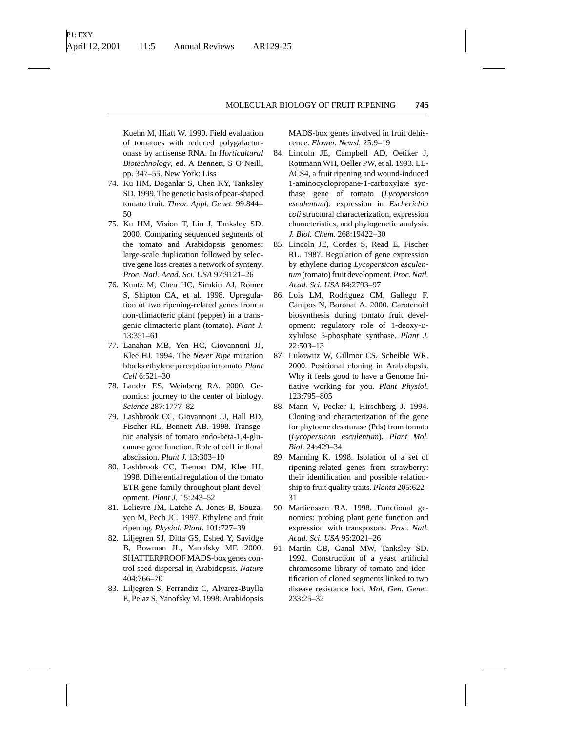Kuehn M, Hiatt W. 1990. Field evaluation of tomatoes with reduced polygalacturonase by antisense RNA. In *Horticultural Biotechnology*, ed. A Bennett, S O'Neill, pp. 347–55. New York: Liss

- 74. Ku HM, Doganlar S, Chen KY, Tanksley SD. 1999. The genetic basis of pear-shaped tomato fruit. *Theor. Appl. Genet.* 99:844– 50
- 75. Ku HM, Vision T, Liu J, Tanksley SD. 2000. Comparing sequenced segments of the tomato and Arabidopsis genomes: large-scale duplication followed by selective gene loss creates a network of synteny. *Proc. Natl. Acad. Sci. USA* 97:9121–26
- 76. Kuntz M, Chen HC, Simkin AJ, Romer S, Shipton CA, et al. 1998. Upregulation of two ripening-related genes from a non-climacteric plant (pepper) in a transgenic climacteric plant (tomato). *Plant J.* 13:351–61
- 77. Lanahan MB, Yen HC, Giovannoni JJ, Klee HJ. 1994. The *Never Ripe* mutation blocks ethylene perception in tomato.*Plant Cell* 6:521–30
- 78. Lander ES, Weinberg RA. 2000. Genomics: journey to the center of biology. *Science* 287:1777–82
- 79. Lashbrook CC, Giovannoni JJ, Hall BD, Fischer RL, Bennett AB. 1998. Transgenic analysis of tomato endo-beta-1,4-glucanase gene function. Role of cel1 in floral abscission. *Plant J.* 13:303–10
- 80. Lashbrook CC, Tieman DM, Klee HJ. 1998. Differential regulation of the tomato ETR gene family throughout plant development. *Plant J.* 15:243–52
- 81. Lelievre JM, Latche A, Jones B, Bouzayen M, Pech JC. 1997. Ethylene and fruit ripening. *Physiol. Plant.* 101:727–39
- 82. Liljegren SJ, Ditta GS, Eshed Y, Savidge B, Bowman JL, Yanofsky MF. 2000. SHATTERPROOF MADS-box genes control seed dispersal in Arabidopsis. *Nature* 404:766–70
- 83. Liljegren S, Ferrandiz C, Alvarez-Buylla E, Pelaz S, Yanofsky M. 1998. Arabidopsis

MADS-box genes involved in fruit dehiscence. *Flower. Newsl.* 25:9–19

- 84. Lincoln JE, Campbell AD, Oetiker J, Rottmann WH, Oeller PW, et al. 1993. LE-ACS4, a fruit ripening and wound-induced 1-aminocyclopropane-1-carboxylate synthase gene of tomato (*Lycopersicon esculentum*): expression in *Escherichia coli* structural characterization, expression characteristics, and phylogenetic analysis. *J. Biol. Chem.* 268:19422–30
- 85. Lincoln JE, Cordes S, Read E, Fischer RL. 1987. Regulation of gene expression by ethylene during *Lycopersicon esculentum*(tomato) fruit development.*Proc. Natl. Acad. Sci. USA* 84:2793–97
- 86. Lois LM, Rodriguez CM, Gallego F, Campos N, Boronat A. 2000. Carotenoid biosynthesis during tomato fruit development: regulatory role of 1-deoxy-Dxylulose 5-phosphate synthase. *Plant J.* 22:503–13
- 87. Lukowitz W, Gillmor CS, Scheible WR. 2000. Positional cloning in Arabidopsis. Why it feels good to have a Genome Initiative working for you. *Plant Physiol.* 123:795–805
- 88. Mann V, Pecker I, Hirschberg J. 1994. Cloning and characterization of the gene for phytoene desaturase (Pds) from tomato (*Lycopersicon esculentum*). *Plant Mol. Biol.* 24:429–34
- 89. Manning K. 1998. Isolation of a set of ripening-related genes from strawberry: their identification and possible relationship to fruit quality traits. *Planta* 205:622– 31
- 90. Martienssen RA. 1998. Functional genomics: probing plant gene function and expression with transposons. *Proc. Natl. Acad. Sci. USA* 95:2021–26
- 91. Martin GB, Ganal MW, Tanksley SD. 1992. Construction of a yeast artificial chromosome library of tomato and identification of cloned segments linked to two disease resistance loci. *Mol. Gen. Genet.* 233:25–32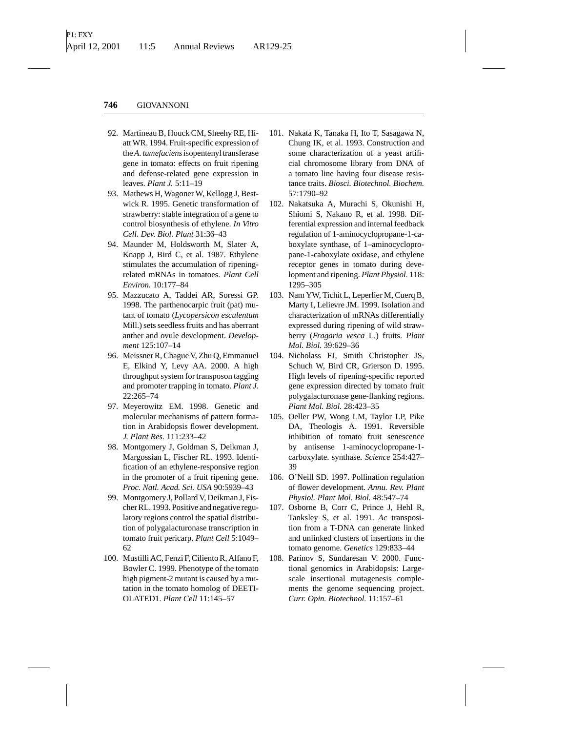- 92. Martineau B, Houck CM, Sheehy RE, Hiatt WR. 1994. Fruit-specific expression of the*A. tumefaciens*isopentenyl transferase gene in tomato: effects on fruit ripening and defense-related gene expression in leaves. *Plant J.* 5:11–19
- 93. Mathews H, Wagoner W, Kellogg J, Bestwick R. 1995. Genetic transformation of strawberry: stable integration of a gene to control biosynthesis of ethylene. *In Vitro Cell. Dev. Biol. Plant* 31:36–43
- 94. Maunder M, Holdsworth M, Slater A, Knapp J, Bird C, et al. 1987. Ethylene stimulates the accumulation of ripeningrelated mRNAs in tomatoes. *Plant Cell Environ.* 10:177–84
- 95. Mazzucato A, Taddei AR, Soressi GP. 1998. The parthenocarpic fruit (pat) mutant of tomato (*Lycopersicon esculentum* Mill.) sets seedless fruits and has aberrant anther and ovule development. *Development* 125:107–14
- 96. Meissner R, Chague V, Zhu Q, Emmanuel E, Elkind Y, Levy AA. 2000. A high throughput system for transposon tagging and promoter trapping in tomato. *Plant J.* 22:265–74
- 97. Meyerowitz EM. 1998. Genetic and molecular mechanisms of pattern formation in Arabidopsis flower development. *J. Plant Res.* 111:233–42
- 98. Montgomery J, Goldman S, Deikman J, Margossian L, Fischer RL. 1993. Identification of an ethylene-responsive region in the promoter of a fruit ripening gene. *Proc. Natl. Acad. Sci. USA* 90:5939–43
- 99. Montgomery J, Pollard V, Deikman J, Fischer RL. 1993. Positive and negative regulatory regions control the spatial distribution of polygalacturonase transcription in tomato fruit pericarp. *Plant Cell* 5:1049– 62
- 100. Mustilli AC, Fenzi F, Ciliento R, Alfano F, Bowler C. 1999. Phenotype of the tomato high pigment-2 mutant is caused by a mutation in the tomato homolog of DEETI-OLATED1. *Plant Cell* 11:145–57
- 101. Nakata K, Tanaka H, Ito T, Sasagawa N, Chung IK, et al. 1993. Construction and some characterization of a yeast artificial chromosome library from DNA of a tomato line having four disease resistance traits. *Biosci. Biotechnol. Biochem.* 57:1790–92
- 102. Nakatsuka A, Murachi S, Okunishi H, Shiomi S, Nakano R, et al. 1998. Differential expression and internal feedback regulation of 1-aminocyclopropane-1-caboxylate synthase, of 1–aminocyclopropane-1-caboxylate oxidase, and ethylene receptor genes in tomato during development and ripening. *Plant Physiol.* 118: 1295–305
- 103. Nam YW, Tichit L, Leperlier M, Cuerq B, Marty I, Lelievre JM. 1999. Isolation and characterization of mRNAs differentially expressed during ripening of wild strawberry (*Fragaria vesca* L.) fruits. *Plant Mol. Biol.* 39:629–36
- 104. Nicholass FJ, Smith Christopher JS, Schuch W, Bird CR, Grierson D. 1995. High levels of ripening-specific reported gene expression directed by tomato fruit polygalacturonase gene-flanking regions. *Plant Mol. Biol.* 28:423–35
- 105. Oeller PW, Wong LM, Taylor LP, Pike DA, Theologis A. 1991. Reversible inhibition of tomato fruit senescence by antisense 1-aminocyclopropane-1 carboxylate. synthase. *Science* 254:427– 39
- 106. O'Neill SD. 1997. Pollination regulation of flower development. *Annu. Rev. Plant Physiol. Plant Mol. Biol.* 48:547–74
- 107. Osborne B, Corr C, Prince J, Hehl R, Tanksley S, et al. 1991. *Ac* transposition from a T-DNA can generate linked and unlinked clusters of insertions in the tomato genome. *Genetics* 129:833–44
- 108. Parinov S, Sundaresan V. 2000. Functional genomics in Arabidopsis: Largescale insertional mutagenesis complements the genome sequencing project. *Curr. Opin. Biotechnol.* 11:157–61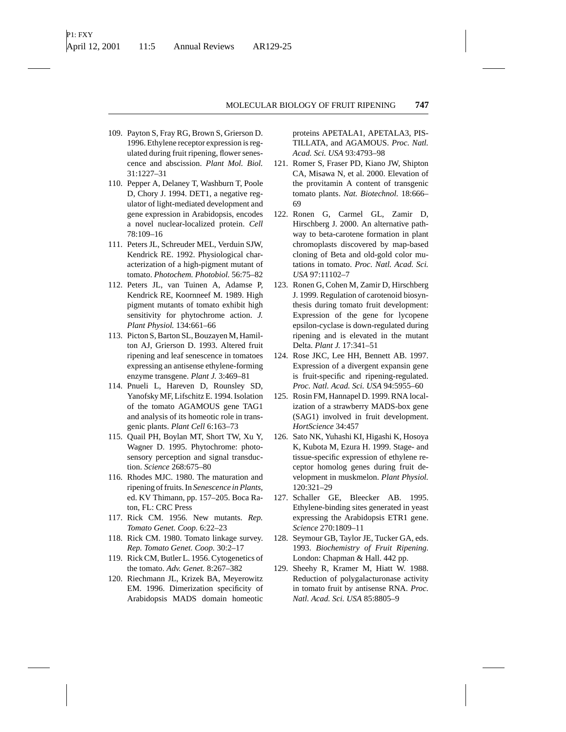- 109. Payton S, Fray RG, Brown S, Grierson D. 1996. Ethylene receptor expression is regulated during fruit ripening, flower senescence and abscission. *Plant Mol. Biol.* 31:1227–31
- 110. Pepper A, Delaney T, Washburn T, Poole D, Chory J. 1994. DET1, a negative regulator of light-mediated development and gene expression in Arabidopsis, encodes a novel nuclear-localized protein. *Cell* 78:109–16
- 111. Peters JL, Schreuder MEL, Verduin SJW, Kendrick RE. 1992. Physiological characterization of a high-pigment mutant of tomato. *Photochem. Photobiol.* 56:75–82
- 112. Peters JL, van Tuinen A, Adamse P, Kendrick RE, Koornneef M. 1989. High pigment mutants of tomato exhibit high sensitivity for phytochrome action. *J. Plant Physiol.* 134:661–66
- 113. Picton S, Barton SL, Bouzayen M, Hamilton AJ, Grierson D. 1993. Altered fruit ripening and leaf senescence in tomatoes expressing an antisense ethylene-forming enzyme transgene. *Plant J.* 3:469–81
- 114. Pnueli L, Hareven D, Rounsley SD, Yanofsky MF, Lifschitz E. 1994. Isolation of the tomato AGAMOUS gene TAG1 and analysis of its homeotic role in transgenic plants. *Plant Cell* 6:163–73
- 115. Quail PH, Boylan MT, Short TW, Xu Y, Wagner D. 1995. Phytochrome: photosensory perception and signal transduction. *Science* 268:675–80
- 116. Rhodes MJC. 1980. The maturation and ripening of fruits. In *Senescence in Plants*, ed. KV Thimann, pp. 157–205. Boca Raton, FL: CRC Press
- 117. Rick CM. 1956. New mutants. *Rep. Tomato Genet. Coop.* 6:22–23
- 118. Rick CM. 1980. Tomato linkage survey. *Rep. Tomato Genet. Coop.* 30:2–17
- 119. Rick CM, Butler L. 1956. Cytogenetics of the tomato. *Adv. Genet.* 8:267–382
- 120. Riechmann JL, Krizek BA, Meyerowitz EM. 1996. Dimerization specificity of Arabidopsis MADS domain homeotic

proteins APETALA1, APETALA3, PIS-TILLATA, and AGAMOUS. *Proc. Natl. Acad. Sci. USA* 93:4793–98

- 121. Romer S, Fraser PD, Kiano JW, Shipton CA, Misawa N, et al. 2000. Elevation of the provitamin A content of transgenic tomato plants. Nat. Biotechnol. 18:666-69
- 122. Ronen G, Carmel GL, Zamir D, Hirschberg J. 2000. An alternative pathway to beta-carotene formation in plant chromoplasts discovered by map-based cloning of Beta and old-gold color mutations in tomato. *Proc. Natl. Acad. Sci. USA* 97:11102–7
- 123. Ronen G, Cohen M, Zamir D, Hirschberg J. 1999. Regulation of carotenoid biosynthesis during tomato fruit development: Expression of the gene for lycopene epsilon-cyclase is down-regulated during ripening and is elevated in the mutant Delta. *Plant J.* 17:341–51
- 124. Rose JKC, Lee HH, Bennett AB. 1997. Expression of a divergent expansin gene is fruit-specific and ripening-regulated. *Proc. Natl. Acad. Sci. USA* 94:5955–60
- 125. Rosin FM, Hannapel D. 1999. RNA localization of a strawberry MADS-box gene (SAG1) involved in fruit development. *HortScience* 34:457
- 126. Sato NK, Yuhashi KI, Higashi K, Hosoya K, Kubota M, Ezura H. 1999. Stage- and tissue-specific expression of ethylene receptor homolog genes during fruit development in muskmelon. *Plant Physiol.* 120:321–29
- 127. Schaller GE, Bleecker AB. 1995. Ethylene-binding sites generated in yeast expressing the Arabidopsis ETR1 gene. *Science* 270:1809–11
- 128. Seymour GB, Taylor JE, Tucker GA, eds. 1993. *Biochemistry of Fruit Ripening*. London: Chapman & Hall. 442 pp.
- 129. Sheehy R, Kramer M, Hiatt W. 1988. Reduction of polygalacturonase activity in tomato fruit by antisense RNA. *Proc. Natl. Acad. Sci. USA* 85:8805–9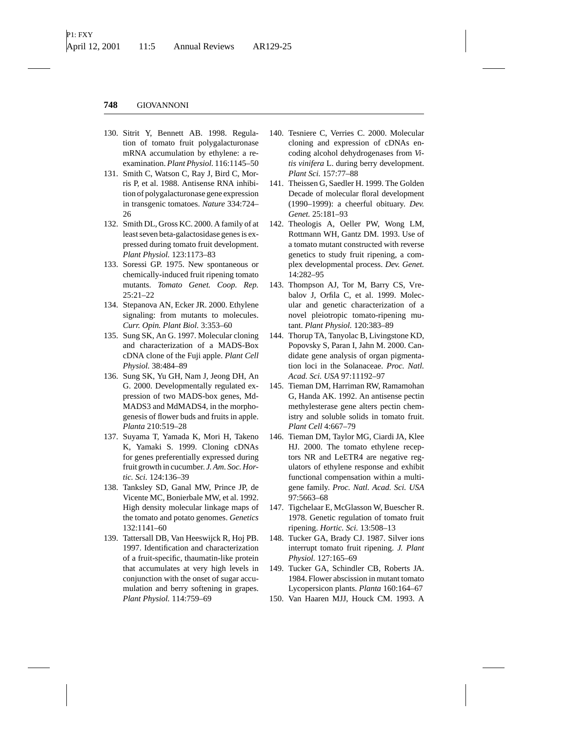- 130. Sitrit Y, Bennett AB. 1998. Regulation of tomato fruit polygalacturonase mRNA accumulation by ethylene: a reexamination. *Plant Physiol.* 116:1145–50
- 131. Smith C, Watson C, Ray J, Bird C, Morris P, et al. 1988. Antisense RNA inhibition of polygalacturonase gene expression in transgenic tomatoes. *Nature* 334:724– 26
- 132. Smith DL, Gross KC. 2000. A family of at least seven beta-galactosidase genes is expressed during tomato fruit development. *Plant Physiol.* 123:1173–83
- 133. Soressi GP. 1975. New spontaneous or chemically-induced fruit ripening tomato mutants. *Tomato Genet. Coop. Rep.* 25:21–22
- 134. Stepanova AN, Ecker JR. 2000. Ethylene signaling: from mutants to molecules. *Curr. Opin. Plant Biol.* 3:353–60
- 135. Sung SK, An G. 1997. Molecular cloning and characterization of a MADS-Box cDNA clone of the Fuji apple. *Plant Cell Physiol.* 38:484–89
- 136. Sung SK, Yu GH, Nam J, Jeong DH, An G. 2000. Developmentally regulated expression of two MADS-box genes, Md-MADS3 and MdMADS4, in the morphogenesis of flower buds and fruits in apple. *Planta* 210:519–28
- 137. Suyama T, Yamada K, Mori H, Takeno K, Yamaki S. 1999. Cloning cDNAs for genes preferentially expressed during fruit growth in cucumber. *J. Am. Soc. Hortic. Sci.* 124:136–39
- 138. Tanksley SD, Ganal MW, Prince JP, de Vicente MC, Bonierbale MW, et al. 1992. High density molecular linkage maps of the tomato and potato genomes. *Genetics* 132:1141–60
- 139. Tattersall DB, Van Heeswijck R, Hoj PB. 1997. Identification and characterization of a fruit-specific, thaumatin-like protein that accumulates at very high levels in conjunction with the onset of sugar accumulation and berry softening in grapes. *Plant Physiol.* 114:759–69
- 140. Tesniere C, Verries C. 2000. Molecular cloning and expression of cDNAs encoding alcohol dehydrogenases from *Vitis vinifera* L. during berry development. *Plant Sci.* 157:77–88
- 141. Theissen G, Saedler H. 1999. The Golden Decade of molecular floral development (1990–1999): a cheerful obituary. *Dev. Genet.* 25:181–93
- 142. Theologis A, Oeller PW, Wong LM, Rottmann WH, Gantz DM. 1993. Use of a tomato mutant constructed with reverse genetics to study fruit ripening, a complex developmental process. *Dev. Genet.* 14:282–95
- 143. Thompson AJ, Tor M, Barry CS, Vrebalov J, Orfila C, et al. 1999. Molecular and genetic characterization of a novel pleiotropic tomato-ripening mutant. *Plant Physiol.* 120:383–89
- 144. Thorup TA, Tanyolac B, Livingstone KD, Popovsky S, Paran I, Jahn M. 2000. Candidate gene analysis of organ pigmentation loci in the Solanaceae. *Proc. Natl. Acad. Sci. USA* 97:11192–97
- 145. Tieman DM, Harriman RW, Ramamohan G, Handa AK. 1992. An antisense pectin methylesterase gene alters pectin chemistry and soluble solids in tomato fruit. *Plant Cell* 4:667–79
- 146. Tieman DM, Taylor MG, Ciardi JA, Klee HJ. 2000. The tomato ethylene receptors NR and LeETR4 are negative regulators of ethylene response and exhibit functional compensation within a multigene family. *Proc. Natl. Acad. Sci. USA* 97:5663–68
- 147. Tigchelaar E, McGlasson W, Buescher R. 1978. Genetic regulation of tomato fruit ripening. *Hortic. Sci.* 13:508–13
- 148. Tucker GA, Brady CJ. 1987. Silver ions interrupt tomato fruit ripening. *J. Plant Physiol.* 127:165–69
- 149. Tucker GA, Schindler CB, Roberts JA. 1984. Flower abscission in mutant tomato Lycopersicon plants. *Planta* 160:164–67
- 150. Van Haaren MJJ, Houck CM. 1993. A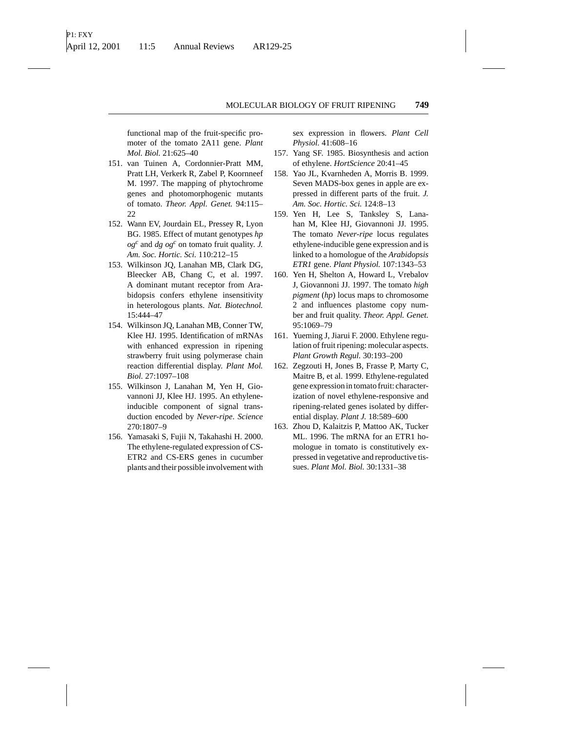functional map of the fruit-specific promoter of the tomato 2A11 gene. *Plant Mol. Biol.* 21:625–40

- 151. van Tuinen A, Cordonnier-Pratt MM, Pratt LH, Verkerk R, Zabel P, Koornneef M. 1997. The mapping of phytochrome genes and photomorphogenic mutants of tomato. *Theor. Appl. Genet.* 94:115– 22
- 152. Wann EV, Jourdain EL, Pressey R, Lyon BG. 1985. Effect of mutant genotypes *hp*  $\alpha$ <sup>c</sup> and *dg*  $\alpha$ *<sup>c</sup>* on tomato fruit quality. *J. Am. Soc. Hortic. Sci.* 110:212–15
- 153. Wilkinson JQ, Lanahan MB, Clark DG, Bleecker AB, Chang C, et al. 1997. A dominant mutant receptor from Arabidopsis confers ethylene insensitivity in heterologous plants. *Nat. Biotechnol.* 15:444–47
- 154. Wilkinson JQ, Lanahan MB, Conner TW, Klee HJ. 1995. Identification of mRNAs with enhanced expression in ripening strawberry fruit using polymerase chain reaction differential display. *Plant Mol. Biol.* 27:1097–108
- 155. Wilkinson J, Lanahan M, Yen H, Giovannoni JJ, Klee HJ. 1995. An ethyleneinducible component of signal transduction encoded by *Never-ripe*. *Science* 270:1807–9
- 156. Yamasaki S, Fujii N, Takahashi H. 2000. The ethylene-regulated expression of CS-ETR2 and CS-ERS genes in cucumber plants and their possible involvement with

sex expression in flowers. *Plant Cell Physiol.* 41:608–16

- 157. Yang SF. 1985. Biosynthesis and action of ethylene. *HortScience* 20:41–45
- 158. Yao JL, Kvarnheden A, Morris B. 1999. Seven MADS-box genes in apple are expressed in different parts of the fruit. *J. Am. Soc. Hortic. Sci.* 124:8–13
- 159. Yen H, Lee S, Tanksley S, Lanahan M, Klee HJ, Giovannoni JJ. 1995. The tomato *Never-ripe* locus regulates ethylene-inducible gene expression and is linked to a homologue of the *Arabidopsis ETR1* gene. *Plant Physiol.* 107:1343–53
- 160. Yen H, Shelton A, Howard L, Vrebalov J, Giovannoni JJ. 1997. The tomato *high pigment* (*hp*) locus maps to chromosome 2 and influences plastome copy number and fruit quality. *Theor. Appl. Genet.* 95:1069–79
- 161. Yueming J, Jiarui F. 2000. Ethylene regulation of fruit ripening: molecular aspects. *Plant Growth Regul.* 30:193–200
- 162. Zegzouti H, Jones B, Frasse P, Marty C, Maitre B, et al. 1999. Ethylene-regulated gene expression in tomato fruit: characterization of novel ethylene-responsive and ripening-related genes isolated by differential display. *Plant J.* 18:589–600
- 163. Zhou D, Kalaitzis P, Mattoo AK, Tucker ML. 1996. The mRNA for an ETR1 homologue in tomato is constitutively expressed in vegetative and reproductive tissues. *Plant Mol. Biol.* 30:1331–38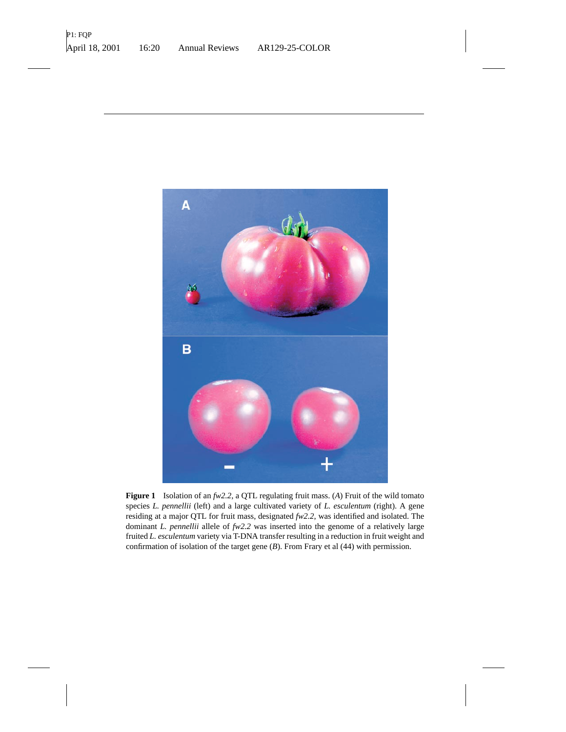

**Figure 1** Isolation of an *fw2.2*, a QTL regulating fruit mass. (*A*) Fruit of the wild tomato species *L. pennellii* (left) and a large cultivated variety of *L. esculentum* (right). A gene residing at a major QTL for fruit mass, designated *fw2.2*, was identified and isolated. The dominant *L. pennellii* allele of *fw2.2* was inserted into the genome of a relatively large fruited *L. esculentum* variety via T-DNA transfer resulting in a reduction in fruit weight and confirmation of isolation of the target gene (*B*). From Frary et al (44) with permission.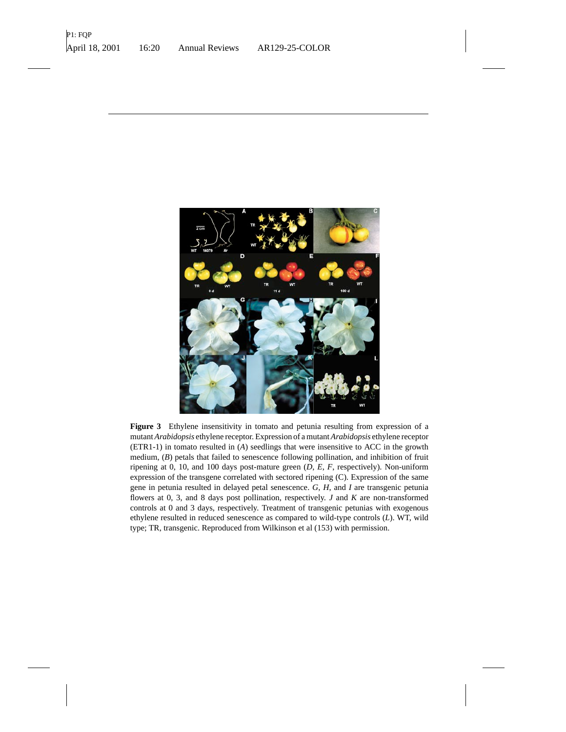

**Figure 3** Ethylene insensitivity in tomato and petunia resulting from expression of a mutant *Arabidopsis* ethylene receptor. Expression of a mutant*Arabidopsis* ethylene receptor (ETR1-1) in tomato resulted in (*A*) seedlings that were insensitive to ACC in the growth medium, (*B*) petals that failed to senescence following pollination, and inhibition of fruit ripening at 0, 10, and 100 days post-mature green (*D*, *E*, *F*, respectively). Non-uniform expression of the transgene correlated with sectored ripening (C). Expression of the same gene in petunia resulted in delayed petal senescence. *G*, *H*, and *I* are transgenic petunia flowers at 0, 3, and 8 days post pollination, respectively. *J* and *K* are non-transformed controls at 0 and 3 days, respectively. Treatment of transgenic petunias with exogenous ethylene resulted in reduced senescence as compared to wild-type controls (*L*). WT, wild type; TR, transgenic. Reproduced from Wilkinson et al (153) with permission.